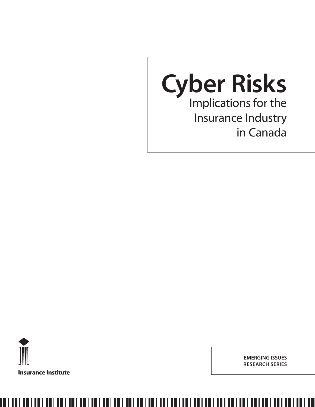



**EMERGING ISSUES RESEARCH SERIES**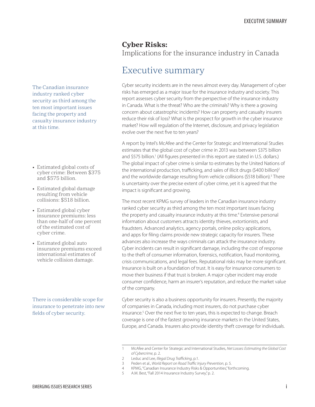### **Cyber Risks:**  Implications for the insurance industry in Canada

## Executive summary

Cyber security incidents are in the news almost every day. Management of cyber risks has emerged as a major issue for the insurance industry and society. This report assesses cyber security from the perspective of the insurance industry in Canada. What is the threat? Who are the criminals? Why is there a growing concern about catastrophic incidents? How can property and casualty insurers reduce their risk of loss? What is the prospect for growth in the cyber insurance market? How will regulation of the Internet, disclosure, and privacy legislation evolve over the next five to ten years?

A report by Intel's McAfee and the Center for Strategic and International Studies estimates that the global cost of cyber crime in 2013 was between \$375 billion and \$575 billion.<sup>1</sup> (All figures presented in this report are stated in U.S. dollars.) The global impact of cyber crime is similar to estimates by the United Nations of the international production, trafficking, and sales of illicit drugs (\$400 billion)<sup>2</sup> and the worldwide damage resulting from vehicle collisions (\$518 billion).<sup>3</sup> There is uncertainty over the precise extent of cyber crime, yet it is agreed that the impact is significant and growing.

The most recent KPMG survey of leaders in the Canadian insurance industry ranked cyber security as third among the ten most important issues facing the property and casualty insurance industry at this time.<sup>4</sup> Extensive personal information about customers attracts identity thieves, extortionists, and fraudsters. Advanced analytics, agency portals, online policy applications, and apps for filing claims provide new strategic capacity for insurers. These advances also increase the ways criminals can attack the insurance industry. Cyber incidents can result in significant damage, including the cost of response to the theft of consumer information, forensics, notification, fraud monitoring, crisis communications, and legal fees. Reputational risks may be more significant. Insurance is built on a foundation of trust. It is easy for insurance consumers to move their business if that trust is broken. A major cyber incident may erode consumer confidence, harm an insurer's reputation, and reduce the market value of the company.

Cyber security is also a business opportunity for insurers. Presently, the majority of companies in Canada, including most insurers, do not purchase cyber insurance.<sup>5</sup> Over the next five to ten years, this is expected to change. Breach coverage is one of the fastest growing insurance markets in the United States, Europe, and Canada. Insurers also provide identity theft coverage for individuals.

<span id="page-2-0"></span>The Canadian insurance industry ranked cyber security as third among the ten most important issues facing the property and casualty insurance industry at this time.

- Estimated global costs of cyber crime: Between \$375 and \$575 billion.
- Estimated global damage resulting from vehicle collisions: \$518 billion.
- Estimated global cyber insurance premiums: less than one-half of one percent of the estimated cost of cyber crime.
- Estimated global auto insurance premiums exceed international estimates of vehicle collision damage.

There is considerable scope for insurance to penetrate into new fields of cyber security.

<sup>1</sup> McAfee and Center for Strategic and International Studies, *Net Losses: Estimating the Global Cost of Cybercrime*, p. 2.

<sup>2</sup> Leduc and Lee, *Illegal Drug Trafficking*, p.1.

<sup>3</sup> Peden et al., *World Report on Road Traffic Injury Prevention*, p. 5.

<sup>4</sup> KPMG, "Canadian Insurance Industry Risks & Opportunities," forthcoming.

<sup>5</sup> A.M. Best, "Fall 2014 Insurance Industry Survey," p. 2.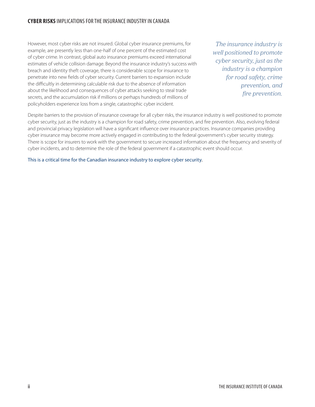### **CYBER RISKS** IMPLICATIONS FOR THE INSURANCE INDUSTRY IN CANADA

However, most cyber risks are not insured. Global cyber insurance premiums, for example, are presently less than one-half of one percent of the estimated cost of cyber crime. In contrast, global auto insurance premiums exceed international estimates of vehicle collision damage. Beyond the insurance industry's success with breach and identity theft coverage, there is considerable scope for insurance to penetrate into new fields of cyber security. Current barriers to expansion include the difficultly in determining calculable risk due to the absence of information about the likelihood and consequences of cyber attacks seeking to steal trade secrets, and the accumulation risk if millions or perhaps hundreds of millions of policyholders experience loss from a single, catastrophic cyber incident.

*The insurance industry is well positioned to promote cyber security, just as the industry is a champion for road safety, crime prevention, and fire prevention.*

Despite barriers to the provision of insurance coverage for all cyber risks, the insurance industry is well positioned to promote cyber security, just as the industry is a champion for road safety, crime prevention, and fire prevention. Also, evolving federal and provincial privacy legislation will have a significant influence over insurance practices. Insurance companies providing cyber insurance may become more actively engaged in contributing to the federal government's cyber security strategy. There is scope for insurers to work with the government to secure increased information about the frequency and severity of cyber incidents, and to determine the role of the federal government if a catastrophic event should occur.

This is a critical time for the Canadian insurance industry to explore cyber security.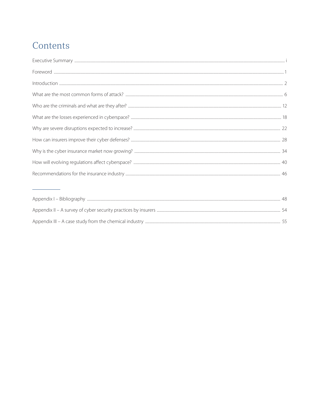# Contents

|                                                        | 48. |
|--------------------------------------------------------|-----|
|                                                        |     |
| Appendix III – A case study from the chemical industry |     |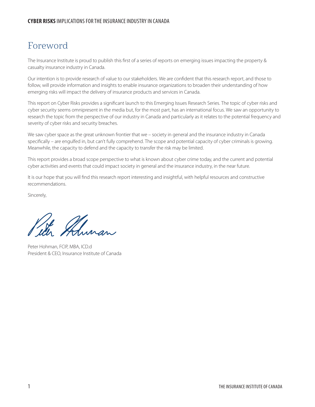## <span id="page-5-0"></span>Foreword

The Insurance Institute is proud to publish this first of a series of reports on emerging issues impacting the property & casualty insurance industry in Canada.

Our intention is to provide research of value to our stakeholders. We are confident that this research report, and those to follow, will provide information and insights to enable insurance organizations to broaden their understanding of how emerging risks will impact the delivery of insurance products and services in Canada.

This report on Cyber Risks provides a significant launch to this Emerging Issues Research Series. The topic of cyber risks and cyber security seems omnipresent in the media but, for the most part, has an international focus. We saw an opportunity to research the topic from the perspective of our industry in Canada and particularly as it relates to the potential frequency and severity of cyber risks and security breaches.

We saw cyber space as the great unknown frontier that we – society in general and the insurance industry in Canada specifically – are engulfed in, but can't fully comprehend. The scope and potential capacity of cyber criminals is growing. Meanwhile, the capacity to defend and the capacity to transfer the risk may be limited.

This report provides a broad scope perspective to what is known about cyber crime today, and the current and potential cyber activities and events that could impact society in general and the insurance industry, in the near future.

It is our hope that you will find this research report interesting and insightful, with helpful resources and constructive recommendations.

Sincerely,

Ahman

Peter Hohman, FCIP, MBA, ICD.d President & CEO, Insurance Institute of Canada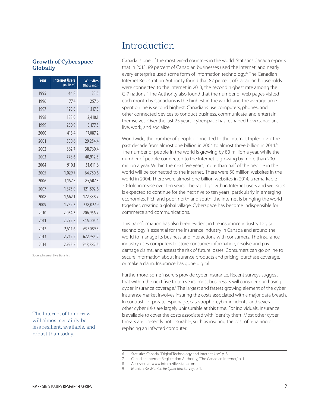#### <span id="page-6-0"></span>**Growth of Cyberspace Globally**

| Year | <b>Internet Users</b><br>(millions) | <b>Websites</b><br>(thousands) |
|------|-------------------------------------|--------------------------------|
| 1995 | 44.8                                | 23.5                           |
| 1996 | 77.4                                | 257.6                          |
| 1997 | 120.8                               | 1,117.3                        |
| 1998 | 188.0                               | 2,410.1                        |
| 1999 | 280.9                               | 3,177.5                        |
| 2000 | 413.4                               | 17,087.2                       |
| 2001 | 500.6                               | 29,254.4                       |
| 2002 | 662.7                               | 38,760.4                       |
| 2003 | 778.6                               | 40,912.3                       |
| 2004 | 910.1                               | 51,611.6                       |
| 2005 | 1,029.7                             | 64,780.6                       |
| 2006 | 1,157.5                             | 85,507.3                       |
| 2007 | 1,373.0                             | 121,892.6                      |
| 2008 | 1,562.1                             | 172,338.7                      |
| 2009 | 1,752.3                             | 238,027.9                      |
| 2010 | 2,034.3                             | 206.956.7                      |
| 2011 | 2,272.5                             | 346,004.4                      |
| 2012 | 2,511.6                             | 697,089.5                      |
| 2013 | 2,712.2                             | 672,985.2                      |
| 2014 | 2.925.2                             | 968,882.5                      |

Source: Internet Live Statistics

The Internet of tomorrow will almost certainly be less resilient, available, and robust than today.

## Introduction

Canada is one of the most wired countries in the world. Statistics Canada reports that in 2013, 89 percent of Canadian businesses used the Internet, and nearly every enterprise used some form of information technology.<sup>6</sup> The Canadian Internet Registration Authority found that 87 percent of Canadian households were connected to the Internet in 2013, the second highest rate among the G-7 nations.<sup>7</sup> The Authority also found that the number of web pages visited each month by Canadians is the highest in the world, and the average time spent online is second highest. Canadians use computers, phones, and other connected devices to conduct business, communicate, and entertain themselves. Over the last 25 years, cyberspace has reshaped how Canadians live, work, and socialize.

Worldwide, the number of people connected to the Internet tripled over the past decade from almost one billion in 2004 to almost three billion in 2014.<sup>8</sup> The number of people in the world is growing by 80 million a year, while the number of people connected to the Internet is growing by more than 200 million a year. Within the next five years, more than half of the people in the world will be connected to the Internet. There were 50 million websites in the world in 2004. There were almost one billion websites in 2014, a remarkable 20-fold increase over ten years. The rapid growth in Internet users and websites is expected to continue for the next five to ten years, particularly in emerging economies. Rich and poor, north and south, the Internet is bringing the world together, creating a global village. Cyberspace has become indispensible for commerce and communications.

This transformation has also been evident in the insurance industry. Digital technology is essential for the insurance industry in Canada and around the world to manage its business and interactions with consumers. The insurance industry uses computers to store consumer information, resolve and pay damage claims, and assess the risk of future losses. Consumers can go online to secure information about insurance products and pricing, purchase coverage, or make a claim. Insurance has gone digital.

Furthermore, some insurers provide cyber insurance. Recent surveys suggest that within the next five to ten years, most businesses will consider purchasing cyber insurance coverage.<sup>9</sup> The largest and fastest growing element of the cyber insurance market involves insuring the costs associated with a major data breach. In contrast, corporate espionage, catastrophic cyber incidents, and several other cyber risks are largely uninsurable at this time. For individuals, insurance is available to cover the costs associated with identity theft. Most other cyber threats are presently not insurable, such as insuring the cost of repairing or replacing an infected computer.

8 Accessed at www.internetlivestats.com.

<sup>6</sup> Statistics Canada, "Digital Technology and Internet Use," p. 3.

<sup>7</sup> Canadian Internet Registration Authority, "The Canadian Internet," p. 1.

<sup>9</sup> Munich Re, *Munich Re Cyber Risk Survey*, p. 1.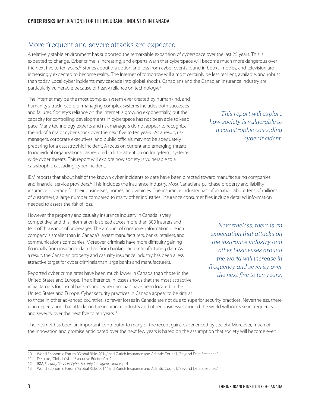## More frequent and severe attacks are expected

A relatively stable environment has supported the remarkable expansion of cyberspace over the last 25 years. This is expected to change. Cyber crime is increasing, and experts warn that cyberspace will become much more dangerous over the next five to ten years.<sup>10</sup> Stories about disruption and loss from cyber events found in books, movies, and television are increasingly expected to become reality. The Internet of tomorrow will almost certainly be less resilient, available, and robust than today. Local cyber incidents may cascade into global shocks. Canadians and the Canadian insurance industry are particularly vulnerable because of heavy reliance on technology.<sup>11</sup>

The Internet may be the most complex system ever created by humankind, and humanity's track record of managing complex systems includes both successes and failures. Society's reliance on the Internet is growing exponentially, but the capacity for controlling developments in cyberspace has not been able to keep pace. Many technology experts and risk managers do not appear to recognize the risk of a major cyber shock over the next five to ten years. As a result, risk managers, corporate executives, and public officials may not be adequately preparing for a catastrophic incident. A focus on current and emerging threats to individual organizations has resulted in little attention on long-term, systemwide cyber threats. This report will explore how society is vulnerable to a catastrophic cascading cyber incident.

IBM reports that about half of the known cyber incidents to date have been directed toward manufacturing companies and financial service providers.<sup>12</sup> This includes the insurance industry. Most Canadians purchase property and liability insurance coverage for their businesses, homes, and vehicles. The insurance industry has information about tens of millions of customers, a large number compared to many other industries. Insurance consumer files include detailed information needed to assess the risk of loss.

However, the property and casualty insurance industry in Canada is very competitive, and this information is spread across more than 300 insurers and tens of thousands of brokerages. The amount of consumer information in each company is smaller than in Canada's largest manufacturers, banks, retailers, and communications companies. Moreover, criminals have more difficulty gaining financially from insurance data than from banking and manufacturing data. As a result, the Canadian property and casualty insurance industry has been a less attractive target for cyber criminals than large banks and manufacturers.

Reported cyber crime rates have been much lower in Canada than those in the United States and Europe. The difference in losses shows that the most attractive initial targets for casual hackers and cyber criminals have been located in the United States and Europe. Cyber security practices in Canada appear to be similar

*Nevertheless, there is an expectation that attacks on the insurance industry and other businesses around the world will increase in frequency and severity over the next five to ten years.*

to those in other advanced countries, so fewer losses in Canada are not due to superior security practices. Nevertheless, there is an expectation that attacks on the insurance industry and other businesses around the world will increase in frequency and severity over the next five to ten years.<sup>13</sup>

The Internet has been an important contributor to many of the recent gains experienced by society. Moreover, much of the innovation and promise anticipated over the next few years is based on the assumption that society will become even

*This report will explore how society is vulnerable to a catastrophic cascading cyber incident.*

<sup>10</sup> World Economic Forum, "Global Risks 2014," and Zurich Insurance and Atlantic Council, "Beyond Data Breaches."

<sup>11</sup> Deloitte, "Global Cyber Executive Briefing," p. 2.

<sup>12</sup> IBM, *Security Services Cyber Security Intelligence Index*, p. 4.

<sup>13</sup> World Economic Forum, "Global Risks 2014," and Zurich Insurance and Atlantic Council, "Beyond Data Breaches."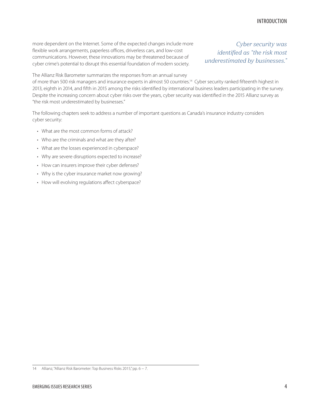more dependent on the Internet. Some of the expected changes include more flexible work arrangements, paperless offices, driverless cars, and low-cost communications. However, these innovations may be threatened because of cyber crime's potential to disrupt this essential foundation of modern society.

*Cyber security was identified as "the risk most underestimated by businesses."*

The Allianz Risk Barometer summarizes the responses from an annual survey

of more than 500 risk managers and insurance experts in almost 50 countries.<sup>14</sup> Cyber security ranked fifteenth highest in 2013, eighth in 2014, and fifth in 2015 among the risks identified by international business leaders participating in the survey. Despite the increasing concern about cyber risks over the years, cyber security was identified in the 2015 Allianz survey as "the risk most underestimated by businesses."

The following chapters seek to address a number of important questions as Canada's insurance industry considers cyber security:

- What are the most common forms of attack?
- Who are the criminals and what are they after?
- What are the losses experienced in cyberspace?
- Why are severe disruptions expected to increase?
- How can insurers improve their cyber defenses?
- Why is the cyber insurance market now growing?
- How will evolving regulations affect cyberspace?

<sup>14</sup> Allianz, "Allianz Risk Barometer: Top Business Risks 2015," pp. 6 − 7.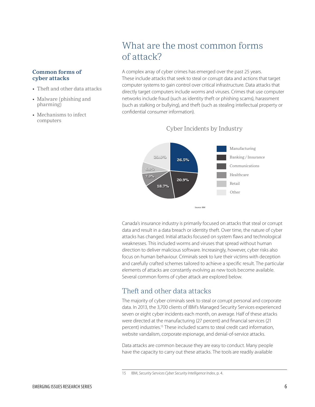#### <span id="page-10-0"></span>**Common forms of cyber attacks**

- Theft and other data attacks
- Malware (phishing and pharming)
- Mechanisms to infect computers

## What are the most common forms of attack?

A complex array of cyber crimes has emerged over the past 25 years. These include attacks that seek to steal or corrupt data and actions that target computer systems to gain control over critical infrastructure. Data attacks that directly target computers include worms and viruses. Crimes that use computer networks include fraud (such as identity theft or phishing scams), harassment (such as stalking or bullying), and theft (such as stealing intellectual property or confidential consumer information).



#### Cyber Incidents by Industry

Canada's insurance industry is primarily focused on attacks that steal or corrupt data and result in a data breach or identity theft. Over time, the nature of cyber attacks has changed. Initial attacks focused on system flaws and technological weaknesses. This included worms and viruses that spread without human direction to deliver malicious software. Increasingly, however, cyber risks also focus on human behaviour. Criminals seek to lure their victims with deception and carefully crafted schemes tailored to achieve a specific result. The particular elements of attacks are constantly evolving as new tools become available. Several common forms of cyber attack are explored below.

### Theft and other data attacks

The majority of cyber criminals seek to steal or corrupt personal and corporate data. In 2013, the 3,700 clients of IBM's Managed Security Services experienced seven or eight cyber incidents each month, on average. Half of these attacks were directed at the manufacturing (27 percent) and financial services (21 percent) industries.15 These included scams to steal credit card information, website vandalism, corporate espionage, and denial-of-service attacks.

Data attacks are common because they are easy to conduct. Many people have the capacity to carry out these attacks. The tools are readily available

<sup>15</sup> IBM, *Security Services Cyber Security Intelligence Index*, p. 4.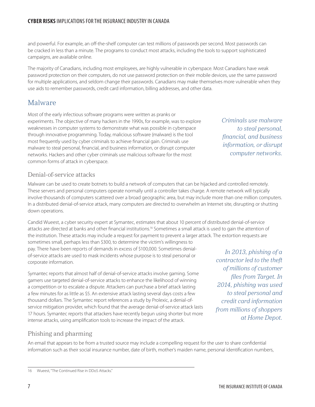and powerful. For example, an off-the-shelf computer can test millions of passwords per second. Most passwords can be cracked in less than a minute. The programs to conduct most attacks, including the tools to support sophisticated campaigns, are available online.

The majority of Canadians, including most employees, are highly vulnerable in cyberspace. Most Canadians have weak password protection on their computers, do not use password protection on their mobile devices, use the same password for multiple applications, and seldom change their passwords. Canadians may make themselves more vulnerable when they use aids to remember passwords, credit card information, billing addresses, and other data.

### Malware

Most of the early infectious software programs were written as pranks or experiments. The objective of many hackers in the 1990s, for example, was to explore weaknesses in computer systems to demonstrate what was possible in cyberspace through innovative programming. Today, malicious software (malware) is the tool most frequently used by cyber criminals to achieve financial gain. Criminals use malware to steal personal, financial, and business information, or disrupt computer networks. Hackers and other cyber criminals use malicious software for the most common forms of attack in cyberspace.

*financial, and business information, or disrupt computer networks.* 

*Criminals use malware* 

*to steal personal,* 

#### Denial-of-service attacks

Malware can be used to create botnets to build a network of computers that can be hijacked and controlled remotely. These servers and personal computers operate normally until a controller takes charge. A remote network will typically involve thousands of computers scattered over a broad geographic area, but may include more than one million computers. In a distributed denial-of-service attack, many computers are directed to overwhelm an Internet site, disrupting or shutting down operations.

Candid Wueest, a cyber security expert at Symantec, estimates that about 10 percent of distributed denial-of-service attacks are directed at banks and other financial institutions.<sup>16</sup> Sometimes a small attack is used to gain the attention of the institution. These attacks may include a request for payment to prevent a larger attack. The extortion requests are sometimes small, perhaps less than \$300, to determine the victim's willingness to pay. There have been reports of demands in excess of \$100,000. Sometimes denialof-service attacks are used to mask incidents whose purpose is to steal personal or

corporate information.

Symantec reports that almost half of denial-of-service attacks involve gaming. Some gamers use targeted denial-of-service attacks to enhance the likelihood of winning a competition or to escalate a dispute. Attackers can purchase a brief attack lasting a few minutes for as little as \$5. An extensive attack lasting several days costs a few thousand dollars. The Symantec report references a study by Prolexic, a denial-ofservice mitigation provider, which found that the average denial-of-service attack lasts 17 hours. Symantec reports that attackers have recently begun using shorter but more intense attacks, using amplification tools to increase the impact of the attack.

 *In 2013, phishing of a contractor led to the theft of millions of customer files from Target. In 2014, phishing was used to steal personal and credit card information from millions of shoppers at Home Depot.*

#### Phishing and pharming

An email that appears to be from a trusted source may include a compelling request for the user to share confidential information such as their social insurance number, date of birth, mother's maiden name, personal identification numbers,

<sup>16</sup> Wueest, "The Continued Rise in DDoS Attacks."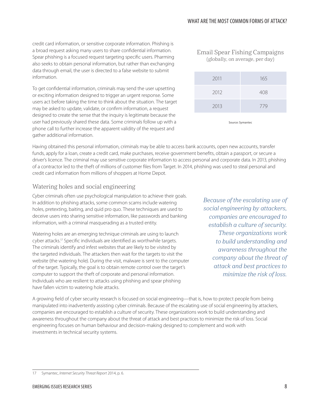credit card information, or sensitive corporate information. Phishing is a broad request asking many users to share confidential information. Spear phishing is a focused request targeting specific users. Pharming also seeks to obtain personal information, but rather than exchanging data through email, the user is directed to a false website to submit information.

To get confidential information, criminals may send the user upsetting or exciting information designed to trigger an urgent response. Some users act before taking the time to think about the situation. The target may be asked to update, validate, or confirm information, a request designed to create the sense that the inquiry is legitimate because the user had previously shared these data. Some criminals follow up with a phone call to further increase the apparent validity of the request and gather additional information.

#### Email Spear Fishing Campaigns (globally, on average, per day)

| 2011 | 165 |
|------|-----|
| 2012 | 408 |
| 2013 | 779 |
|      |     |

Source: Symantec

Having obtained this personal information, criminals may be able to access bank accounts, open new accounts, transfer funds, apply for a loan, create a credit card, make purchases, receive government benefits, obtain a passport, or secure a driver's licence. The criminal may use sensitive corporate information to access personal and corporate data. In 2013, phishing of a contractor led to the theft of millions of customer files from Target. In 2014, phishing was used to steal personal and credit card information from millions of shoppers at Home Depot.

### Watering holes and social engineering

Cyber criminals often use psychological manipulation to achieve their goals. In addition to phishing attacks, some common scams include watering holes, pretexting, baiting, and quid pro quo. These techniques are used to deceive users into sharing sensitive information, like passwords and banking information, with a criminal masquerading as a trusted entity.

Watering holes are an emerging technique criminals are using to launch cyber attacks.<sup>17</sup> Specific individuals are identified as worthwhile targets. The criminals identify and infest websites that are likely to be visited by the targeted individuals. The attackers then wait for the targets to visit the website (the watering hole). During the visit, malware is sent to the computer of the target. Typically, the goal is to obtain remote control over the target's computer to support the theft of corporate and personal information. Individuals who are resilient to attacks using phishing and spear phishing have fallen victim to watering hole attacks.

*Because of the escalating use of social engineering by attackers, companies are encouraged to establish a culture of security. These organizations work to build understanding and awareness throughout the company about the threat of attack and best practices to minimize the risk of loss.*

A growing field of cyber security research is focused on social engineering—that is, how to protect people from being manipulated into inadvertently assisting cyber criminals. Because of the escalating use of social engineering by attackers, companies are encouraged to establish a culture of security. These organizations work to build understanding and awareness throughout the company about the threat of attack and best practices to minimize the risk of loss. Social engineering focuses on human behaviour and decision-making designed to complement and work with investments in technical security systems.

<sup>17</sup> Symantec, *Internet Security Threat Report* 2014, p. 6.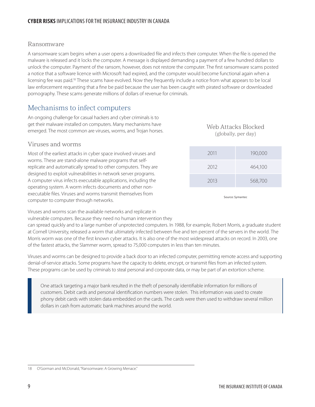### Ransomware

A ransomware scam begins when a user opens a downloaded file and infects their computer. When the file is opened the malware is released and it locks the computer. A message is displayed demanding a payment of a few hundred dollars to unlock the computer. Payment of the ransom, however, does not restore the computer. The first ransomware scams posted a notice that a software licence with Microsoft had expired, and the computer would become functional again when a licensing fee was paid.<sup>18</sup> These scams have evolved. Now they frequently include a notice from what appears to be local law enforcement requesting that a fine be paid because the user has been caught with pirated software or downloaded pornography. These scams generate millions of dollars of revenue for criminals.

### Mechanisms to infect computers

An ongoing challenge for casual hackers and cyber criminals is to get their malware installed on computers. Many mechanisms have emerged. The most common are viruses, worms, and Trojan horses.

### Viruses and worms

Most of the earliest attacks in cyber space involved viruses and worms. These are stand-alone malware programs that selfreplicate and automatically spread to other computers. They are designed to exploit vulnerabilities in network server programs. A computer virus infects executable applications, including the operating system. A worm infects documents and other nonexecutable files. Viruses and worms transmit themselves from computer to computer through networks.

Web Attacks Blocked (globally, per day)

| 2011 | 190,000 |
|------|---------|
| 2012 | 464,100 |
| 2013 | 568,700 |

Source: Symantec

Viruses and worms scan the available networks and replicate in

vulnerable computers. Because they need no human intervention they

can spread quickly and to a large number of unprotected computers. In 1988, for example, Robert Morris, a graduate student at Cornell University, released a worm that ultimately infected between five and ten percent of the servers in the world. The Morris worm was one of the first known cyber attacks. It is also one of the most widespread attacks on record. In 2003, one of the fastest attacks, the Slammer worm, spread to 75,000 computers in less than ten minutes.

Viruses and worms can be designed to provide a back door to an infected computer, permitting remote access and supporting denial-of-service attacks. Some programs have the capacity to delete, encrypt, or transmit files from an infected system. These programs can be used by criminals to steal personal and corporate data, or may be part of an extortion scheme.

One attack targeting a major bank resulted in the theft of personally identifiable information for millions of customers. Debit cards and personal identification numbers were stolen. This information was used to create phony debit cards with stolen data embedded on the cards. The cards were then used to withdraw several million dollars in cash from automatic bank machines around the world.

18 O'Gorman and McDonald, "Ransomware: A Growing Menace."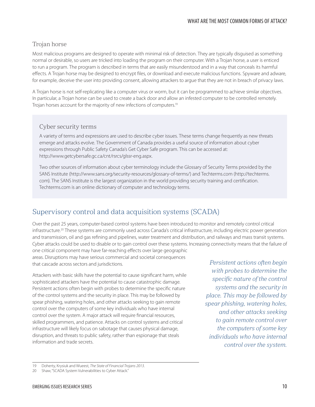### Trojan horse

Most malicious programs are designed to operate with minimal risk of detection. They are typically disguised as something normal or desirable, so users are tricked into loading the program on their computer. With a Trojan horse, a user is enticed to run a program. The program is described in terms that are easily misunderstood and in a way that conceals its harmful effects. A Trojan horse may be designed to encrypt files, or download and execute malicious functions. Spyware and adware, for example, deceive the user into providing consent, allowing attackers to argue that they are not in breach of privacy laws.

A Trojan horse is not self-replicating like a computer virus or worm, but it can be programmed to achieve similar objectives. In particular, a Trojan horse can be used to create a back door and allow an infested computer to be controlled remotely. Trojan horses account for the majority of new infections of computers.<sup>19</sup>

### Cyber security terms

A variety of terms and expressions are used to describe cyber issues. These terms change frequently as new threats emerge and attacks evolve. The Government of Canada provides a useful source of information about cyber expressions through Public Safety Canada's Get Cyber Safe program. This can be accessed at: http://www.getcybersafe.gc.ca/cnt/rsrcs/glssr-eng.aspx.

Two other sources of information about cyber terminology include the Glossary of Security Terms provided by the SANS Institute (http://www.sans.org/security-resources/glossary-of-terms/) and Techterms.com (http://techterms. com). The SANS Institute is the largest organization in the world providing security training and certification. Techterms.com is an online dictionary of computer and technology terms.

### Supervisory control and data acquisition systems (SCADA)

Over the past 25 years, computer-based control systems have been introduced to monitor and remotely control critical infrastructure.<sup>20</sup> These systems are commonly used across Canada's critical infrastructure, including electric power generation and transmission, oil and gas refining and pipelines, water treatment and distribution, and railways and mass transit systems. Cyber attacks could be used to disable or to gain control over these systems. Increasing connectivity means that the failure of

one critical component may have far-reaching effects over large geographic areas. Disruptions may have serious commercial and societal consequences that cascade across sectors and jurisdictions.

Attackers with basic skills have the potential to cause significant harm, while sophisticated attackers have the potential to cause catastrophic damage. Persistent actions often begin with probes to determine the specific nature of the control systems and the security in place. This may be followed by spear phishing, watering holes, and other attacks seeking to gain remote control over the computers of some key individuals who have internal control over the system. A major attack will require financial resources, skilled programmers, and patience. Attacks on control systems and critical infrastructure will likely focus on sabotage that causes physical damage, disruption, and threats to public safety, rather than espionage that steals information and trade secrets.

*Persistent actions often begin with probes to determine the specific nature of the control systems and the security in place. This may be followed by spear phishing, watering holes, and other attacks seeking to gain remote control over the computers of some key individuals who have internal control over the system.*

<sup>19</sup> Doherty, Krysiuk and Wueest, *The State of Financial Trojans 2013*.

<sup>20</sup> Shaw, "SCADA System Vulnerabilities to Cyber Attack."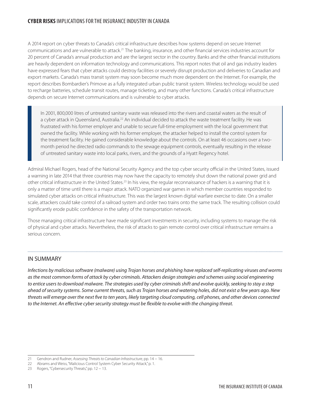### **CYBER RISKS** IMPLICATIONS FOR THE INSURANCE INDUSTRY IN CANADA

A 2014 report on cyber threats to Canada's critical infrastructure describes how systems depend on secure Internet communications and are vulnerable to attack.<sup>21</sup> The banking, insurance, and other financial services industries account for 20 percent of Canada's annual production and are the largest sector in the country. Banks and the other financial institutions are heavily dependent on information technology and communications. This report notes that oil and gas industry leaders have expressed fears that cyber attacks could destroy facilities or severely disrupt production and deliveries to Canadian and export markets. Canada's mass transit system may soon become much more dependent on the Internet. For example, the report describes Bombardier's Primove as a fully integrated urban public transit system. Wireless technology would be used to recharge batteries, schedule transit routes, manage ticketing, and many other functions. Canada's critical infrastructure depends on secure Internet communications and is vulnerable to cyber attacks.

In 2001, 800,000 litres of untreated sanitary waste was released into the rivers and coastal waters as the result of a cyber attack in Queensland, Australia.<sup>22</sup> An individual decided to attack the waste treatment facility. He was frustrated with his former employer and unable to secure full-time employment with the local government that owned the facility. While working with his former employer, the attacker helped to install the control system for the treatment facility. He gained considerable knowledge about the controls. On at least 46 occasions over a twomonth period he directed radio commands to the sewage equipment controls, eventually resulting in the release of untreated sanitary waste into local parks, rivers, and the grounds of a Hyatt Regency hotel.

Admiral Michael Rogers, head of the National Security Agency and the top cyber security official in the United States, issued a warning in late 2014 that three countries may now have the capacity to remotely shut down the national power grid and other critical infrastructure in the United States.<sup>23</sup> In his view, the regular reconnaissance of hackers is a warning that it is only a matter of time until there is a major attack. NATO organized war games in which member countries responded to simulated cyber attacks on critical infrastructure. This was the largest known digital warfare exercise to date. On a smaller scale, attackers could take control of a railroad system and order two trains onto the same track. The resulting collision could significantly erode public confidence in the safety of the transportation network.

Those managing critical infrastructure have made significant investments in security, including systems to manage the risk of physical and cyber attacks. Nevertheless, the risk of attacks to gain remote control over critical infrastructure remains a serious concern.

### IN SUMMARY

*Infections by malicious software (malware) using Trojan horses and phishing have replaced self-replicating viruses and worms as the most common forms of attack by cyber criminals. Attackers design strategies and schemes using social engineering to entice users to download malware. The strategies used by cyber criminals shift and evolve quickly, seeking to stay a step ahead of security systems. Some current threats, such as Trojan horses and watering holes, did not exist a few years ago. New threats will emerge over the next five to ten years, likely targeting cloud computing, cell phones, and other devices connected to the Internet. An effective cyber security strategy must be flexible to evolve with the changing threat.*

<sup>21</sup> Gendron and Rudner, *Assessing Threats to Canadian Infrastructure*, pp. 14 − 16.

<sup>22</sup> Abrams and Weiss, "Malicious Control System Cyber Security Attack," p. 1.

<sup>23</sup> Rogers, "Cybersecurity Threats," pp. 12 − 13.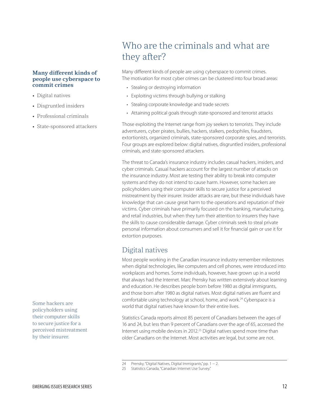#### <span id="page-16-0"></span>**Many different kinds of people use cyberspace to commit crimes**

- Digital natives
- Disgruntled insiders
- • Professional criminals
- • State-sponsored attackers

Some hackers are policyholders using their computer skills to secure justice for a perceived mistreatment by their insurer.

## Who are the criminals and what are they after?

Many different kinds of people are using cyberspace to commit crimes. The motivation for most cyber crimes can be clustered into four broad areas:

- Stealing or destroying information
- Exploiting victims through bullying or stalking
- Stealing corporate knowledge and trade secrets
- Attaining political goals through state-sponsored and terrorist attacks

Those exploiting the Internet range from joy seekers to terrorists. They include adventurers, cyber pirates, bullies, hackers, stalkers, pedophiles, fraudsters, extortionists, organized criminals, state-sponsored corporate spies, and terrorists. Four groups are explored below: digital natives, disgruntled insiders, professional criminals, and state-sponsored attackers.

The threat to Canada's insurance industry includes casual hackers, insiders, and cyber criminals. Casual hackers account for the largest number of attacks on the insurance industry. Most are testing their ability to break into computer systems and they do not intend to cause harm. However, some hackers are policyholders using their computer skills to secure justice for a perceived mistreatment by their insurer. Insider attacks are rare, but these individuals have knowledge that can cause great harm to the operations and reputation of their victims. Cyber criminals have primarily focused on the banking, manufacturing, and retail industries, but when they turn their attention to insurers they have the skills to cause considerable damage. Cyber criminals seek to steal private personal information about consumers and sell it for financial gain or use it for extortion purposes.

### Digital natives

Most people working in the Canadian insurance industry remember milestones when digital technologies, like computers and cell phones, were introduced into workplaces and homes. Some individuals, however, have grown up in a world that always had the Internet. Marc Prensky has written extensively about learning and education. He describes people born before 1980 as digital immigrants, and those born after 1980 as digital natives. Most digital natives are fluent and comfortable using technology at school, home, and work.<sup>24</sup> Cyberspace is a world that digital natives have known for their entire lives.

Statistics Canada reports almost 85 percent of Canadians between the ages of 16 and 24, but less than 9 percent of Canadians over the age of 65, accessed the Internet using mobile devices in 2012.25 Digital natives spend more time than older Canadians on the Internet. Most activities are legal, but some are not.

<sup>24</sup> Prensky, "Digital Natives, Digital Immigrants," pp. 1 − 2.

<sup>25</sup> Statistics Canada, "Canadian Internet Use Survey."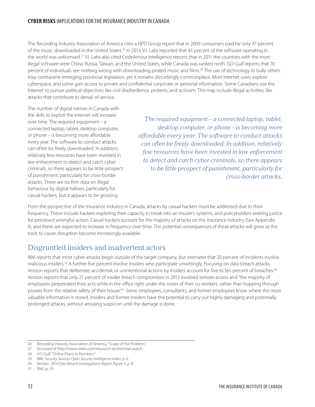### **CYBER RISKS** IMPLICATIONS FOR THE INSURANCE INDUSTRY IN CANADA

The Recording Industry Association of America cites a NPD Group report that in 2009 consumers paid for only 37 percent of the music downloaded in the United States.<sup>26</sup> In 2013, V.I. Labs reported that 43 percent of the software operating in the world was unlicensed.27 V.I. Labs also cited CodeAmour Intelligence reports that in 2011 the countries with the most illegal software were China, Russia, Taiwan, and the United States, while Canada was ranked ninth. GO-Gulf reports that 70 percent of individuals see nothing wrong with downloading pirated music and films.28 The use of technology to bully others may contravene emerging provincial legislation, yet it remains disturbingly commonplace. Most Internet users explore cyberspace, and some gain access to private and confidential corporate or personal information. Some Canadians use the Internet to pursue political objectives like civil disobedience, protests, and activism. This may include illegal activities, like attacks that contribute to denial-of-service.

The number of digital natives in Canada with the skills to exploit the Internet will increase over time. The required equipment – a connected laptop, tablet, desktop computer, or phone – is becoming more affordable every year. The software to conduct attacks can often be freely downloaded. In addition, relatively few resources have been invested in law enforcement to detect and catch cyber criminals, so there appears to be little prospect of punishment, particularly for cross-border attacks. There are no firm data on illegal behaviour by digital natives, particularly for casual hackers, but it appears to be growing.

*The required equipment – a connected laptop, tablet, desktop computer, or phone – is becoming more affordable every year. The software to conduct attacks can often be freely downloaded. In addition, relatively few resources have been invested in law enforcement to detect and catch cyber criminals, so there appears to be little prospect of punishment, particularly for cross-border attacks.* 

From the perspective of the insurance industry in Canada, attacks by casual hackers must be addressed due to their frequency. These include hackers exploring their capacity to break into an insurer's systems, and policyholders seeking justice for perceived wrongful action. Casual hackers account for the majority of attacks on the insurance industry (See Appendix II), and these are expected to increase in frequency over time. The potential consequences of these attacks will grow as the tools to cause disruption become increasingly available.

### Disgruntled insiders and inadvertent actors

IBM reports that most cyber attacks begin outside of the target company, but estimates that 20 percent of incidents involve malicious insiders.29 A further five percent involve insiders who participate unwittingly. Focusing on data breach attacks, Verizon reports that deliberate, accidental, or unintentional actions by insiders account for five to ten percent of breaches.<sup>30</sup> Verizon reports that only 21 percent of insider breach compromises in 2013 involved remote access and "the majority of employees perpetrated their acts while in the office right under the noses of their co-workers, rather than hopping through proxies from the relative safety of their house."31 Some employees, consultants, and former employees know where the most valuable information is stored. Insiders and former insiders have the potential to carry out highly damaging and potentially prolonged attacks, without arousing suspicion until the damage is done.

<sup>26</sup> Recording Industry Association of America, "Scope of the Problem."

<sup>27</sup> Accessed at http://www.vilabs.com/resource-section/stat-watch .

<sup>28</sup> GO-Gulf, "Online Piracy in Numbers."

<sup>29</sup> IBM, *Security Services Cyber Security Intelligence Index*, p. 6.

<sup>30</sup> Verizon, *2014 Data Breach Investigations Report*, figure 5, p. 8.

<sup>31</sup> Ibid., p. 24.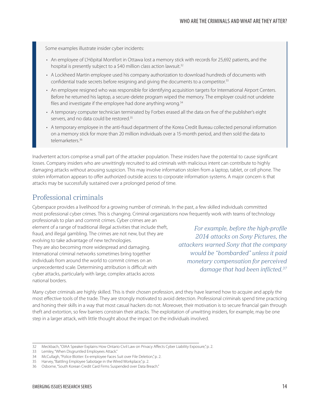Some examples illustrate insider cyber incidents:

- An employee of L'Hôpital Montfort in Ottawa lost a memory stick with records for 25,692 patients, and the hospital is presently subject to a \$40 million class action lawsuit.<sup>32</sup>
- • A Lockheed Martin employee used his company authorization to download hundreds of documents with confidential trade secrets before resigning and giving the documents to a competitor.<sup>33</sup>
- An employee resigned who was responsible for identifying acquisition targets for International Airport Centers. Before he returned his laptop, a secure-delete program wiped the memory. The employer could not undelete files and investigate if the employee had done anything wrong.<sup>34</sup>
- • A temporary computer technician terminated by Forbes erased all the data on five of the publisher's eight servers, and no data could be restored.<sup>35</sup>
- • A temporary employee in the anti-fraud department of the Korea Credit Bureau collected personal information on a memory stick for more than 20 million individuals over a 15-month period, and then sold the data to telemarketers.<sup>36</sup>

Inadvertent actors comprise a small part of the attacker population. These insiders have the potential to cause significant losses. Company insiders who are unwittingly recruited to aid criminals with malicious intent can contribute to highly damaging attacks without arousing suspicion. This may involve information stolen from a laptop, tablet, or cell phone. The stolen information appears to offer authorized outside access to corporate information systems. A major concern is that attacks may be successfully sustained over a prolonged period of time.

### Professional criminals

Cyberspace provides a livelihood for a growing number of criminals. In the past, a few skilled individuals committed most professional cyber crimes. This is changing. Criminal organizations now frequently work with teams of technology

professionals to plan and commit crimes. Cyber crimes are an element of a range of traditional illegal activities that include theft, fraud, and illegal gambling. The crimes are not new, but they are evolving to take advantage of new technologies. They are also becoming more widespread and damaging. International criminal networks sometimes bring together individuals from around the world to commit crimes on an unprecedented scale. Determining attribution is difficult with cyber attacks, particularly with large, complex attacks across national borders.

 *For example, before the high-profile 2014 attacks on Sony Pictures, the attackers warned Sony that the company would be "bombarded" unless it paid monetary compensation for perceived damage that had been inflicted.37*

Many cyber criminals are highly skilled. This is their chosen profession, and they have learned how to acquire and apply the most effective tools of the trade. They are strongly motivated to avoid detection. Professional criminals spend time practicing and honing their skills in a way that most casual hackers do not. Moreover, their motivation is to secure financial gain through theft and extortion, so few barriers constrain their attacks. The exploitation of unwitting insiders, for example, may be one step in a larger attack, with little thought about the impact on the individuals involved.

<sup>32</sup> Meckbach, "OIAA Speaker Explains How Ontario Civil Law on Privacy Affects Cyber Liability Exposure," p. 2.

<sup>33</sup> Lemley, "When Disgruntled Employees Attack."

<sup>34</sup> McCullagh, "Police Blotter: Ex-employee Faces Suit over File Deletion," p. 2.

<sup>35</sup> Harvey, "Battling Employee Sabotage in the Wired Workplace," p. 2.

<sup>36</sup> Osborne, "South Korean Credit Card Firms Suspended over Data Breach."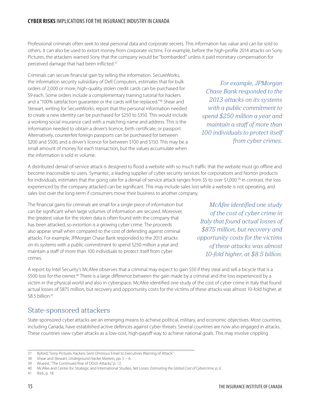Professional criminals often seek to steal personal data and corporate secrets. This information has value and can be sold to others. It can also be used to extort money from corporate victims. For example, before the high-profile 2014 attacks on Sony Pictures, the attackers warned Sony that the company would be "bombarded" unless it paid monetary compensation for perceived damage that had been inflicted.37

Criminals can secure financial gain by selling the information. SecureWorks, the information security subsidiary of Dell Computers, estimates that for bulk orders of 2,000 or more, high-quality stolen credit cards can be purchased for \$9 each. Some orders include a complementary training tutorial for hackers and a "100% satisfaction guarantee or the cards will be replaced."<sup>38</sup> Shear and Stewart, writing for SecureWorks, report that the personal information needed to create a new identity can be purchased for \$250 to \$350. This would include a working social insurance card with a matching name and address. This is the information needed to obtain a driver's licence, birth certificate, or passport. Alternatively, counterfeit foreign passports can be purchased for between \$200 and \$500, and a driver's licence for between \$100 and \$150. This may be a small amount of money for each transaction, but the values accumulate when the information is sold in volume.

A distributed denial-of-service attack is designed to flood a website with so much traffic that the website must go offline and become inaccessible to users. Symantec, a leading supplier of cyber security services for corporations and Norton products for individuals, estimates that the going rate for a denial-of-service attack ranges from \$5 to over \$1,000.39 In contrast, the loss experienced by the company attacked can be significant. This may include sales lost while a website is not operating, and sales lost over the long-term if consumers move their business to another company.

The financial gains for criminals are small for a single piece of information but can be significant when large volumes of information are secured. Moreover, the greatest value for the stolen data is often found with the company that has been attacked, so extortion is a growing cyber crime. The proceeds also appear small when compared to the cost of defending against criminal attacks. For example, JPMorgan Chase Bank responded to the 2013 attacks on its systems with a public commitment to spend \$250 million a year and maintain a staff of more than 100 individuals to protect itself from cyber crimes.

A report by Intel Security's McAfee observes that a criminal may expect to gain \$50 if they steal and sell a bicycle that is a \$500 loss for the owner.<sup>40</sup> There is a large difference between the gain made by a criminal and the loss experienced by a victim in the physical world and also in cyberspace. McAfee identified one study of the cost of cyber crime in Italy that found actual losses of \$875 million, but recovery and opportunity costs for the victims of these attacks was almost 10-fold higher, at \$8.5 billion.<sup>41</sup>

### State-sponsored attackers

State-sponsored cyber attacks are an emerging means to achieve political, military, and economic objectives. Most countries, including Canada, have established active defences against cyber threats. Several countries are now also engaged in attacks. These countries view cyber attacks as a low-cost, high-payoff way to achieve national goals. This may involve crippling



*McAfee identified one study of the cost of cyber crime in Italy that found actual losses of \$875 million, but recovery and opportunity costs for the victims of these attacks was almost 10-fold higher, at \$8.5 billion.*

<sup>37</sup> Byford, "Sony Pictures Hackers Sent Ominous Email to Executives Warning of Attack."

<sup>38</sup> Shear and Stewart, *Underground Hacker Markets*, pp. 5 − 6.

<sup>39</sup> Wueest, "The Continued Rise of DDoS Attacks," p. 12.

<sup>40</sup> McAfee and Center for Strategic and International Studies, *Net Losses: Estimating the Global Cost of Cybercrime*, p. 6.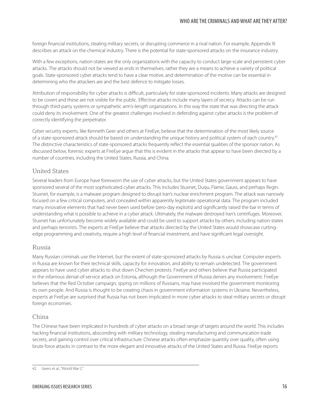foreign financial institutions, stealing military secrets, or disrupting commerce in a rival nation. For example, Appendix III describes an attack on the chemical industry. There is the potential for state-sponsored attacks on the insurance industry.

With a few exceptions, nation-states are the only organizations with the capacity to conduct large-scale and persistent cyber attacks. The attacks should not be viewed as ends in themselves, rather they are a means to achieve a variety of political goals. State-sponsored cyber attacks tend to have a clear motive, and determination of the motive can be essential in determining who the attackers are and the best defence to mitigate losses.

Attribution of responsibility for cyber attacks is difficult, particularly for state-sponsored incidents. Many attacks are designed to be covert and these are not visible for the public. Effective attacks include many layers of secrecy. Attacks can be run through third-party systems or sympathetic arm's-length organizations. In this way the state that was directing the attack could deny its involvement. One of the greatest challenges involved in defending against cyber attacks is the problem of correctly identifying the perpetrator.

Cyber security experts, like Kenneth Geer and others at FireEye, believe that the determination of the most likely source of a state-sponsored attack should be based on understanding the unique history and political system of each country.42 The distinctive characteristics of state-sponsored attacks frequently reflect the essential qualities of the sponsor nation. As discussed below, forensic experts at FireEye argue that this is evident in the attacks that appear to have been directed by a number of countries, including the United States, Russia, and China.

### United States

Several leaders from Europe have foresworn the use of cyber attacks, but the United States government appears to have sponsored several of the most sophisticated cyber attacks. This includes Stuxnet, Duqu, Flame, Gauss, and perhaps Regin. Stuxnet, for example, is a malware program designed to disrupt Iran's nuclear enrichment program. The attack was narrowly focused on a few critical computers, and concealed within apparently legitimate operational data. The program included many innovative elements that had never been used before (zero-day exploits) and significantly raised the bar in terms of understanding what is possible to achieve in a cyber attack. Ultimately, the malware destroyed Iran's centrifuges. Moreover, Stuxnet has unfortunately become widely available and could be used to support attacks by others, including nation-states and perhaps terrorists. The experts at FireEye believe that attacks directed by the United States would showcase cuttingedge programming and creativity, require a high level of financial investment, and have significant legal oversight.

### Russia

Many Russian criminals use the Internet, but the extent of state-sponsored attacks by Russia is unclear. Computer experts in Russia are known for their technical skills, capacity for innovation, and ability to remain undetected. The government appears to have used cyber attacks to shut down Chechen protests. FireEye and others believe that Russia participated in the infamous denial-of-service attack on Estonia, although the Government of Russia denies any involvement. FireEye believes that the Red October campaign, spying on millions of Russians, may have involved the government monitoring its own people. And Russia is thought to be creating chaos in government information systems in Ukraine. Nevertheless, experts at FireEye are surprised that Russia has not been implicated in more cyber attacks to steal military secrets or disrupt foreign economies.

### China

The Chinese have been implicated in hundreds of cyber attacks on a broad range of targets around the world. This includes hacking financial institutions, absconding with military technology, stealing manufacturing and communication trade secrets, and gaining control over critical infrastructure. Chinese attacks often emphasize quantity over quality, often using brute force attacks in contrast to the more elegant and innovative attacks of the United States and Russia. FireEye reports

<sup>42</sup> Geers et al., "World War C."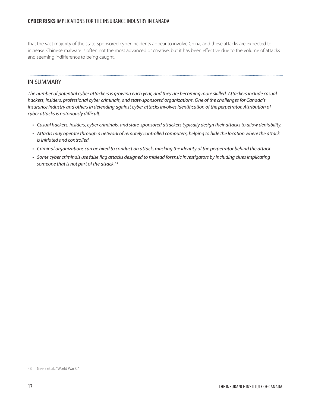that the vast majority of the state-sponsored cyber incidents appear to involve China, and these attacks are expected to increase. Chinese malware is often not the most advanced or creative, but it has been effective due to the volume of attacks and seeming indifference to being caught.

### IN SUMMARY

*The number of potential cyber attackers is growing each year, and they are becoming more skilled. Attackers include casual hackers, insiders, professional cyber criminals, and state-sponsored organizations. One of the challenges for Canada's insurance industry and others in defending against cyber attacks involves identification of the perpetrator. Attribution of cyber attacks is notoriously difficult.*

- • *Casual hackers, insiders, cyber criminals, and state-sponsored attackers typically design their attacks to allow deniability.*
- • *Attacks may operate through a network of remotely controlled computers, helping to hide the location where the attack is initiated and controlled.*
- • *Criminal organizations can be hired to conduct an attack, masking the identity of the perpetrator behind the attack.*
- • *Some cyber criminals use false flag attacks designed to mislead forensic investigators by including clues implicating someone that is not part of the attack.*<sup>43</sup>

<sup>43</sup> Geers et al., "World War C."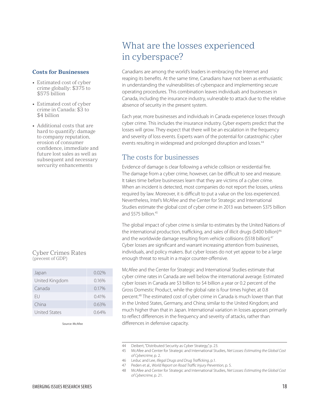#### <span id="page-22-0"></span>**Costs for Businesses**

- Estimated cost of cyber crime globally: \$375 to \$575 billion
- Estimated cost of cyber crime in Canada: \$3 to \$4 billion
- Additional costs that are hard to quantify: damage to company reputation, erosion of consumer confidence, immediate and future lost sales as well as subsequent and necessary sercurity enhancements

#### Cyber Crimes Rates (precent of GDP)

| Japan                | $0.02\%$ |
|----------------------|----------|
| United Kingdom       | 0.16%    |
| Canada               | 0.17%    |
| FU.                  | 0.41%    |
| China                | 0.63%    |
| <b>United States</b> | በ 64%    |

Source: McAfee

## What are the losses experienced in cyberspace?

Canadians are among the world's leaders in embracing the Internet and reaping its benefits. At the same time, Canadians have not been as enthusiastic in understanding the vulnerabilities of cyberspace and implementing secure operating procedures. This combination leaves individuals and businesses in Canada, including the insurance industry, vulnerable to attack due to the relative absence of security in the present system.

Each year, more businesses and individuals in Canada experience losses through cyber crime. This includes the insurance industry. Cyber experts predict that the losses will grow. They expect that there will be an escalation in the frequency and severity of loss events. Experts warn of the potential for catastrophic cyber events resulting in widespread and prolonged disruption and losses.<sup>44</sup>

### The costs for businesses

Evidence of damage is clear following a vehicle collision or residential fire. The damage from a cyber crime, however, can be difficult to see and measure. It takes time before businesses learn that they are victims of a cyber crime. When an incident is detected, most companies do not report the losses, unless required by law. Moreover, it is difficult to put a value on the loss experienced. Nevertheless, Intel's McAfee and the Center for Strategic and International Studies estimate the global cost of cyber crime in 2013 was between \$375 billion and \$575 billion.<sup>45</sup>

The global impact of cyber crime is similar to estimates by the United Nations of the international production, trafficking, and sales of illicit drugs (\$400 billion)<sup>46</sup> and the worldwide damage resulting from vehicle collisions (\$518 billion).<sup>47</sup> Cyber losses are significant and warrant increasing attention from businesses, individuals, and policy makers. But cyber losses do not yet appear to be a large enough threat to result in a major counter-offensive.

McAfee and the Center for Strategic and International Studies estimate that cyber crime rates in Canada are well below the international average. Estimated cyber losses in Canada are \$3 billion to \$4 billion a year or 0.2 percent of the Gross Domestic Product, while the global rate is four times higher, at 0.8 percent.48 The estimated cost of cyber crime in Canada is much lower than that in the United States, Germany, and China; similar to the United Kingdom; and much higher than that in Japan. International variation in losses appears primarily to reflect differences in the frequency and severity of attacks, rather than differences in defensive capacity.

<sup>44</sup> Deibert, "Distributed Security as Cyber Strategy," p. 23.

<sup>45</sup> McAfee and Center for Strategic and International Studies, *Net Losses: Estimating the Global Cost of Cybercrime*, p. 2.

<sup>46</sup> Leduc and Lee, *Illegal Drugs and Drug Trafficking*, p.1.

<sup>47</sup> Peden et al., *World Report on Road Traffic Injury Prevention*, p. 5.

<sup>48</sup> McAfee and Center for Strategic and International Studies, *Net Losses: Estimating the Global Cost of Cybercrime*, p. 21.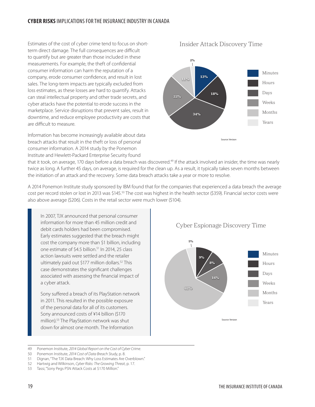#### **CYBER RISKS** IMPLICATIONS FOR THE INSURANCE INDUSTRY IN CANADA

Estimates of the cost of cyber crime tend to focus on shortterm direct damage. The full consequences are difficult to quantify but are greater than those included in these measurements. For example, the theft of confidential consumer information can harm the reputation of a company, erode consumer confidence, and result in lost sales. The long-term impacts are typically excluded from loss estimates, as these losses are hard to quantify. Attacks can steal intellectual property and other trade secrets, and cyber attacks have the potential to erode success in the marketplace. Service disruptions that prevent sales, result in downtime, and reduce employee productivity are costs that are difficult to measure.

Information has become increasingly available about data breach attacks that result in the theft or loss of personal consumer information. A 2014 study by the Ponemon Institute and Hewlett-Packard Enterprise Security found



Insider Attack Discovery Time

that it took, on average, 170 days before a data breach was discovered.<sup>49</sup> If the attack involved an insider, the time was nearly twice as long. A further 45 days, on average, is required for the clean up. As a result, it typically takes seven months between the initiation of an attack and the recovery. Some data breach attacks take a year or more to resolve.

A 2014 Ponemon Institute study sponsored by IBM found that for the companies that experienced a data breach the average cost per record stolen or lost in 2013 was \$145.50 The cost was highest in the health sector (\$359). Financial sector costs were also above average (\$206). Costs in the retail sector were much lower (\$104).

In 2007, TJX announced that personal consumer information for more than 45 million credit and debit cards holders had been compromised. Early estimates suggested that the breach might cost the company more than \$1 billion, including one estimate of \$4.5 billion.<sup>51</sup> In 2014, 25 class action lawsuits were settled and the retailer ultimately paid out \$177 million dollars.<sup>52</sup> This case demonstrates the significant challenges associated with assessing the financial impact of a cyber attack.

Sony suffered a breach of its PlayStation network in 2011. This resulted in the possible exposure of the personal data for all of its customers. Sony announced costs of ¥14 billion (\$170 million).53 The PlayStation network was shut down for almost one month. The Information

Cyber Espionage Discovery Time



<sup>49</sup> Ponemon Institute, *2014 Global Report on the Cost of Cyber Crime*.

<sup>50</sup> Ponemon Institute, *2014 Cost of Data Breach Study*, p. 8.

<sup>51</sup> Dignan, "The TJX Data Breach: Why Loss Estimates Are Overblown."

<sup>52</sup> Hartwig and Wilkinson, *Cyber Risks: The Growing Threat*, p. 17.

<sup>53</sup> Tassi, "Sony Pegs PSN Attack Costs at \$170 Million."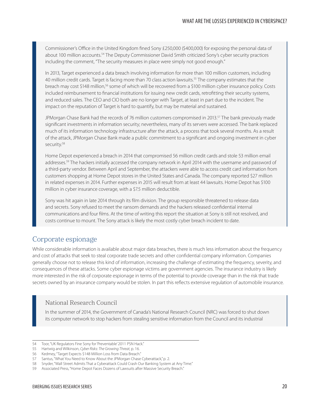Commissioner's Office in the United Kingdom fined Sony £250,000 (\$400,000) for exposing the personal data of about 100 million accounts.<sup>54</sup> The Deputy Commissioner David Smith criticized Sony's cyber security practices including the comment, "The security measures in place were simply not good enough."

In 2013, Target experienced a data breach involving information for more than 100 million customers, including 40 million credit cards. Target is facing more than 70 class action lawsuits.<sup>55</sup> The company estimates that the breach may cost \$148 million,<sup>56</sup> some of which will be recovered from a \$100 million cyber insurance policy. Costs included reimbursement to financial institutions for issuing new credit cards, retrofitting their security systems, and reduced sales. The CEO and CIO both are no longer with Target, at least in part due to the incident. The impact on the reputation of Target is hard to quantify, but may be material and sustained.

JPMorgan Chase Bank had the records of 76 million customers compromised in 2013.<sup>57</sup> The bank previously made significant investments in information security; nevertheless, many of its servers were accessed. The bank replaced much of its information technology infrastructure after the attack, a process that took several months. As a result of the attack, JPMorgan Chase Bank made a public commitment to a significant and ongoing investment in cyber security.<sup>58</sup>

Home Depot experienced a breach in 2014 that compromised 56 million credit cards and stole 53 million email addresses.<sup>59</sup> The hackers initially accessed the company network in April 2014 with the username and password of a third-party vendor. Between April and September, the attackers were able to access credit card information from customers shopping at Home Depot stores in the United States and Canada. The company reported \$27 million in related expenses in 2014. Further expenses in 2015 will result from at least 44 lawsuits. Home Depot has \$100 million in cyber insurance coverage, with a \$7.5 million deductible.

Sony was hit again in late 2014 through its film division. The group responsible threatened to release data and secrets. Sony refused to meet the ransom demands and the hackers released confidential internal communications and four films. At the time of writing this report the situation at Sony is still not resolved, and costs continue to mount. The Sony attack is likely the most costly cyber breach incident to date.

### Corporate espionage

While considerable information is available about major data breaches, there is much less information about the frequency and cost of attacks that seek to steal corporate trade secrets and other confidential company information. Companies generally choose not to release this kind of information, increasing the challenge of estimating the frequency, severity, and consequences of these attacks. Some cyber espionage victims are government agencies. The insurance industry is likely more interested in the risk of corporate espionage in terms of the potential to provide coverage than in the risk that trade secrets owned by an insurance company would be stolen. In part this reflects extensive regulation of automobile insurance.

### National Research Council

In the summer of 2014, the Government of Canada's National Research Council (NRC) was forced to shut down its computer network to stop hackers from stealing sensitive information from the Council and its industrial

<sup>54</sup> Toor, "UK Regulators Fine Sony for 'Preventable' 2011 PSN Hack."

<sup>55</sup> Hartwig and Wilkinson, *Cyber Risks: The Growing Threat*, p. 16.

<sup>56</sup> Kedmey, "Target Expects \$148 Million Loss from Data Breach."

<sup>57</sup> Santus, "What You Need to Know About the JPMorgan Chase Cyberattack," p. 2.

<sup>58</sup> Snyder, "Wall Street Admits That a Cyberattack Could Crash Our Banking System at Any Time."

<sup>59</sup> Associated Press, "Home Depot Faces Dozens of Lawsuits after Massive Security Breach."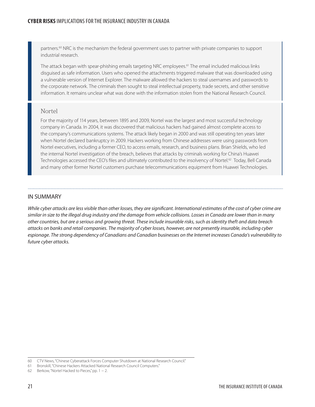partners.<sup>60</sup> NRC is the mechanism the federal government uses to partner with private companies to support industrial research.

The attack began with spear-phishing emails targeting NRC employees.<sup>61</sup> The email included malicious links disguised as safe information. Users who opened the attachments triggered malware that was downloaded using a vulnerable version of Internet Explorer. The malware allowed the hackers to steal usernames and passwords to the corporate network. The criminals then sought to steal intellectual property, trade secrets, and other sensitive information. It remains unclear what was done with the information stolen from the National Research Council.

#### Nortel

For the majority of 114 years, between 1895 and 2009, Nortel was the largest and most successful technology company in Canada. In 2004, it was discovered that malicious hackers had gained almost complete access to the company's communications systems. The attack likely began in 2000 and was still operating ten years later when Nortel declared bankruptcy in 2009. Hackers working from Chinese addresses were using passwords from Nortel executives, including a former CEO, to access emails, research, and business plans. Brian Shields, who led the internal Nortel investigation of the breach, believes that attacks by criminals working for China's Huawei Technologies accessed the CEO's files and ultimately contributed to the insolvency of Nortel.<sup>62</sup> Today, Bell Canada and many other former Nortel customers purchase telecommunications equipment from Huawei Technologies.

#### IN SUMMARY

*While cyber attacks are less visible than other losses, they are significant. International estimates of the cost of cyber crime are similar in size to the illegal drug industry and the damage from vehicle collisions. Losses in Canada are lower than in many other countries, but are a serious and growing threat. These include insurable risks, such as identity theft and data breach attacks on banks and retail companies. The majority of cyber losses, however, are not presently insurable, including cyber espionage. The strong dependency of Canadians and Canadian businesses on the Internet increases Canada's vulnerability to future cyber attacks.*

<sup>60</sup> CTV News, "Chinese Cyberattack Forces Computer Shutdown at National Research Council."

<sup>61</sup> Bronskill, "Chinese Hackers Attacked National Research Council Computers."

<sup>62</sup> Berkow, "Nortel Hacked to Pieces," pp. 1 − 2.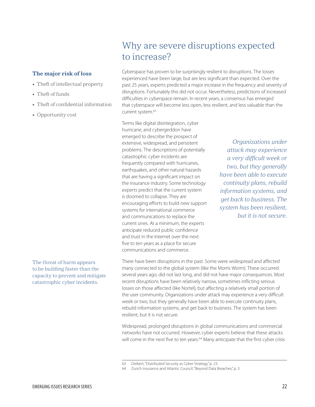#### <span id="page-26-0"></span>**The major risk of loss**

- Theft of intellectual property
- Theft of funds
- Theft of confidential information
- Opportunity cost

The threat of harm appears to be building faster than the capacity to prevent and mitigate catastrophic cyber incidents.

## Why are severe disruptions expected to increase?

Cyberspace has proven to be surprisingly resilient to disruptions. The losses experienced have been large, but are less significant than expected. Over the past 25 years, experts predicted a major increase in the frequency and severity of disruptions. Fortunately this did not occur. Nevertheless, predictions of increased difficulties in cyberspace remain. In recent years, a consensus has emerged that cyberspace will become less open, less resilient, and less valuable than the current system.<sup>63</sup>

Terms like digital disintegration, cyber hurricane, and cybergeddon have emerged to describe the prospect of extensive, widespread, and persistent problems. The descriptions of potentially catastrophic cyber incidents are frequently compared with hurricanes, earthquakes, and other natural hazards that are having a significant impact on the insurance industry. Some technology experts predict that the current system is doomed to collapse. They are encouraging efforts to build new support systems for international commerce and communications to replace the current ones. At a minimum, the experts anticipate reduced public confidence and trust in the Internet over the next five to ten years as a place for secure communications and commerce.

*Organizations under attack may experience a very difficult week or two, but they generally have been able to execute continuity plans, rebuild information systems, and get back to business. The system has been resilient, but it is not secure.*

There have been disruptions in the past. Some were widespread and affected many connected to the global system (like the Morris Worm). These occurred several years ago, did not last long, and did not have major consequences. Most recent disruptions have been relatively narrow, sometimes inflicting serious losses on those affected (like Nortel), but affecting a relatively small portion of the user community. Organizations under attack may experience a very difficult week or two, but they generally have been able to execute continuity plans, rebuild information systems, and get back to business. The system has been resilient, but it is not secure.

Widespread, prolonged disruptions in global communications and commercial networks have not occurred. However, cyber experts believe that these attacks will come in the next five to ten years.<sup>64</sup> Many anticipate that the first cyber crisis

<sup>63</sup> Deibert, "Distributed Security as Cyber Strategy," p. 23.

<sup>64</sup> Zurich Insurance and Atlantic Council, "Beyond Data Breaches," p. 3.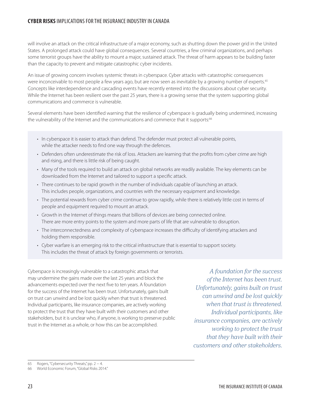### **CYBER RISKS** IMPLICATIONS FOR THE INSURANCE INDUSTRY IN CANADA

will involve an attack on the critical infrastructure of a major economy, such as shutting down the power grid in the United States. A prolonged attack could have global consequences. Several countries, a few criminal organizations, and perhaps some terrorist groups have the ability to mount a major, sustained attack. The threat of harm appears to be building faster than the capacity to prevent and mitigate catastrophic cyber incidents.

An issue of growing concern involves systemic threats in cyberspace. Cyber attacks with catastrophic consequences were inconceivable to most people a few years ago, but are now seen as inevitable by a growing number of experts.<sup>65</sup> Concepts like interdependence and cascading events have recently entered into the discussions about cyber security. While the Internet has been resilient over the past 25 years, there is a growing sense that the system supporting global communications and commerce is vulnerable.

Several elements have been identified warning that the resilience of cyberspace is gradually being undermined, increasing the vulnerability of the Internet and the communications and commerce that it supports:<sup>66</sup>

- In cyberspace it is easier to attack than defend. The defender must protect all vulnerable points, while the attacker needs to find one way through the defences.
- Defenders often underestimate the risk of loss. Attackers are learning that the profits from cyber crime are high and rising, and there is little risk of being caught.
- • Many of the tools required to build an attack on global networks are readily available. The key elements can be downloaded from the Internet and tailored to support a specific attack.
- There continues to be rapid growth in the number of individuals capable of launching an attack. This includes people, organizations, and countries with the necessary equipment and knowledge.
- The potential rewards from cyber crime continue to grow rapidly, while there is relatively little cost in terms of people and equipment required to mount an attack.
- Growth in the Internet of things means that billions of devices are being connected online. There are more entry points to the system and more parts of life that are vulnerable to disruption.
- The interconnectedness and complexity of cyberspace increases the difficulty of identifying attackers and holding them responsible.
- • Cyber warfare is an emerging risk to the critical infrastructure that is essential to support society. This includes the threat of attack by foreign governments or terrorists.

Cyberspace is increasingly vulnerable to a catastrophic attack that may undermine the gains made over the last 25 years and block the advancements expected over the next five to ten years. A foundation for the success of the Internet has been trust. Unfortunately, gains built on trust can unwind and be lost quickly when that trust is threatened. Individual participants, like insurance companies, are actively working to protect the trust that they have built with their customers and other stakeholders, but it is unclear who, if anyone, is working to preserve public trust in the Internet as a whole, or how this can be accomplished.

*A foundation for the success of the Internet has been trust. Unfortunately, gains built on trust can unwind and be lost quickly when that trust is threatened. Individual participants, like insurance companies, are actively working to protect the trust that they have built with their customers and other stakeholders.* 

65 Rogers, "Cybersecurity Threats," pp. 2 − 4.

<sup>66</sup> World Economic Forum, "Global Risks 2014."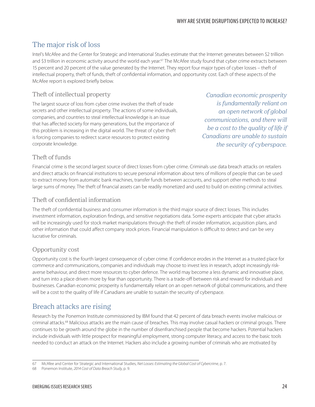### The major risk of loss

Intel's McAfee and the Center for Strategic and International Studies estimate that the Internet generates between \$2 trillion and \$3 trillion in economic activity around the world each year.<sup>67</sup> The McAfee study found that cyber crime extracts between 15 percent and 20 percent of the value generated by the Internet. They report four major types of cyber losses – theft of intellectual property, theft of funds, theft of confidential information, and opportunity cost. Each of these aspects of the McAfee report is explored briefly below.

### Theft of intellectual property

The largest source of loss from cyber crime involves the theft of trade secrets and other intellectual property. The actions of some individuals, companies, and countries to steal intellectual knowledge is an issue that has affected society for many generations, but the importance of this problem is increasing in the digital world. The threat of cyber theft is forcing companies to redirect scarce resources to protect existing corporate knowledge.

*Canadian economic prosperity is fundamentally reliant on an open network of global communications, and there will be a cost to the quality of life if Canadians are unable to sustain the security of cyberspace.*

### Theft of funds

Financial crime is the second largest source of direct losses from cyber crime. Criminals use data breach attacks on retailers and direct attacks on financial institutions to secure personal information about tens of millions of people that can be used to extract money from automatic bank machines, transfer funds between accounts, and support other methods to steal large sums of money. The theft of financial assets can be readily monetized and used to build on existing criminal activities.

### Theft of confidential information

The theft of confidential business and consumer information is the third major source of direct losses. This includes investment information, exploration findings, and sensitive negotiations data. Some experts anticipate that cyber attacks will be increasingly used for stock market manipulations through the theft of insider information, acquisition plans, and other information that could affect company stock prices. Financial manipulation is difficult to detect and can be very lucrative for criminals.

### Opportunity cost

Opportunity cost is the fourth largest consequence of cyber crime. If confidence erodes in the Internet as a trusted place for commerce and communications, companies and individuals may choose to invest less in research, adopt increasingly riskaverse behaviour, and direct more resources to cyber defence. The world may become a less dynamic and innovative place, and turn into a place driven more by fear than opportunity. There is a trade-off between risk and reward for individuals and businesses. Canadian economic prosperity is fundamentally reliant on an open network of global communications, and there will be a cost to the quality of life if Canadians are unable to sustain the security of cyberspace.

### Breach attacks are rising

Research by the Ponemon Institute commissioned by IBM found that 42 percent of data breach events involve malicious or criminal attacks.68 Malicious attacks are the main cause of breaches. This may involve casual hackers or criminal groups. There continues to be growth around the globe in the number of disenfranchised people that become hackers. Potential hackers include individuals with little prospect for meaningful employment, strong computer literacy, and access to the basic tools needed to conduct an attack on the Internet. Hackers also include a growing number of criminals who are motivated by

<sup>67</sup> McAfee and Center for Strategic and International Studies, *Net Losses: Estimating the Global Cost of Cybercrime*, p. 7.

<sup>68</sup> Ponemon Institute, *2014 Cost of Data Breach Study*, p. 9.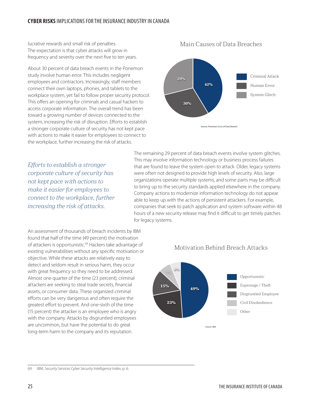lucrative rewards and small risk of penalties. The expectation is that cyber attacks will grow in frequency and severity over the next five to ten years.

About 30 percent of data breach events in the Ponemon study involve human error. This includes negligent employees and contractors. Increasingly, staff members connect their own laptops, phones, and tablets to the workplace system, yet fail to follow proper security protocol. This offers an opening for criminals and casual hackers to access corporate information. The overall trend has been toward a growing number of devices connected to the system, increasing the risk of disruption. Efforts to establish a stronger corporate culture of security has not kept pace with actions to make it easier for employees to connect to the workplace, further increasing the risk of attacks.

30% 29% 42% System Glitch Human Error Criminal Attack Source: Ponemon (Cost of Data Breach)

Main Causes of Data Breaches

*Efforts to establish a stronger corporate culture of security has not kept pace with actions to make it easier for employees to connect to the workplace, further increasing the risk of attacks.*

The remaining 29 percent of data breach events involve system glitches. This may involve information technology or business process failures that are found to leave the system open to attack. Older, legacy systems were often not designed to provide high levels of security. Also, large organizations operate multiple systems, and some parts may be difficult to bring up to the security standards applied elsewhere in the company. Company actions to modernize information technology do not appear able to keep up with the actions of persistent attackers. For example, companies that seek to patch application and system software within 48 hours of a new security release may find it difficult to get timely patches for legacy systems.

An assessment of thousands of breach incidents by IBM found that half of the time (49 percent) the motivation of attackers is opportunistic.<sup>69</sup> Hackers take advantage of existing vulnerabilities without any specific motivation or objective. While these attacks are relatively easy to detect and seldom result in serious harm, they occur with great frequency so they need to be addressed. Almost one quarter of the time (23 percent), criminal attackers are seeking to steal trade secrets, financial assets, or consumer data. These organized criminal efforts can be very dangerous and often require the greatest effort to prevent. And one-sixth of the time (15 percent) the attacker is an employee who is angry with the company. Attacks by disgruntled employees are uncommon, but have the potential to do great long-term harm to the company and its reputation.





69 IBM, *Security Services Cyber Security Intelligence Index*, p. 6.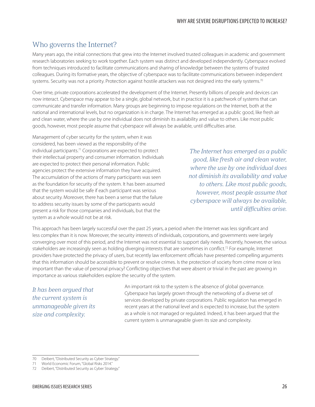### Who governs the Internet?

Many years ago, the initial connections that grew into the Internet involved trusted colleagues in academic and government research laboratories seeking to work together. Each system was distinct and developed independently. Cyberspace evolved from techniques introduced to facilitate communications and sharing of knowledge between the systems of trusted colleagues. During its formative years, the objective of cyberspace was to facilitate communications between independent systems. Security was not a priority. Protection against hostile attackers was not designed into the early systems.<sup>70</sup>

Over time, private corporations accelerated the development of the Internet. Presently billions of people and devices can now interact. Cyberspace may appear to be a single, global network, but in practice it is a patchwork of systems that can communicate and transfer information. Many groups are beginning to impose regulations on the Internet, both at the national and international levels, but no organization is in charge. The Internet has emerged as a public good, like fresh air and clean water, where the use by one individual does not diminish its availability and value to others. Like most public goods, however, most people assume that cyberspace will always be available, until difficulties arise.

Management of cyber security for the system, when it was considered, has been viewed as the responsibility of the individual participants.<sup>71</sup> Corporations are expected to protect their intellectual property and consumer information. Individuals are expected to protect their personal information. Public agencies protect the extensive information they have acquired. The accumulation of the actions of many participants was seen as the foundation for security of the system. It has been assumed that the system would be safe if each participant was serious about security. Moreover, there has been a sense that the failure to address security issues by some of the participants would present a risk for those companies and individuals, but that the system as a whole would not be at risk.

*The Internet has emerged as a public good, like fresh air and clean water, where the use by one individual does not diminish its availability and value to others. Like most public goods, however, most people assume that cyberspace will always be available, until difficulties arise.*

This approach has been largely successful over the past 25 years, a period when the Internet was less significant and less complex than it is now. Moreover, the security interests of individuals, corporations, and governments were largely converging over most of this period, and the Internet was not essential to support daily needs. Recently, however, the various stakeholders are increasingly seen as holding diverging interests that are sometimes in conflict.<sup>72</sup> For example, Internet providers have protected the privacy of users, but recently law enforcement officials have presented compelling arguments that this information should be accessible to prevent or resolve crimes. Is the protection of society from crime more or less important than the value of personal privacy? Conflicting objectives that were absent or trivial in the past are growing in importance as various stakeholders explore the security of the system.

*It has been argued that the current system is unmanageable given its size and complexity.*

An important risk to the system is the absence of global governance. Cyberspace has largely grown through the networking of a diverse set of services developed by private corporations. Public regulation has emerged in recent years at the national level and is expected to increase, but the system as a whole is not managed or regulated. Indeed, it has been argued that the current system is unmanageable given its size and complexity.

<sup>70</sup> Deibert, "Distributed Security as Cyber Strategy."

<sup>71</sup> World Economic Forum, "Global Risks 2014."

<sup>72</sup> Deibert, "Distributed Security as Cyber Strategy."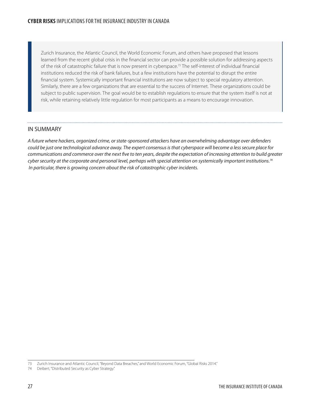Zurich Insurance, the Atlantic Council, the World Economic Forum, and others have proposed that lessons learned from the recent global crisis in the financial sector can provide a possible solution for addressing aspects of the risk of catastrophic failure that is now present in cyberspace.73 The self-interest of individual financial institutions reduced the risk of bank failures, but a few institutions have the potential to disrupt the entire financial system. Systemically important financial institutions are now subject to special regulatory attention. Similarly, there are a few organizations that are essential to the success of Internet. These organizations could be subject to public supervision. The goal would be to establish regulations to ensure that the system itself is not at risk, while retaining relatively little regulation for most participants as a means to encourage innovation.

### IN SUMMARY

*A future where hackers, organized crime, or state-sponsored attackers have an overwhelming advantage over defenders could be just one technological advance away. The expert consensus is that cyberspace will become a less secure place for communications and commerce over the next five to ten years, despite the expectation of increasing attention to build greater cyber security at the corporate and personal level, perhaps with special attention on systemically important institutions.74 In particular, there is growing concern about the risk of catastrophic cyber incidents.*

<sup>73</sup> Zurich Insurance and Atlantic Council, "Beyond Data Breaches," and World Economic Forum, "Global Risks 2014."

<sup>74</sup> Deibert, "Distributed Security as Cyber Strategy."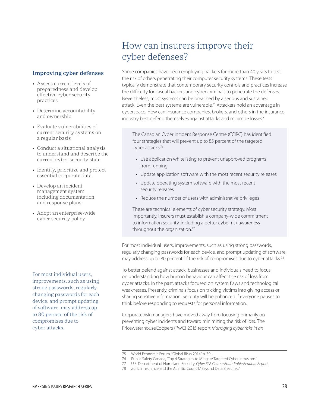#### <span id="page-32-0"></span>**Improving cyber defenses**

- • Assess current levels of preparedness and develop effective cyber security practices
- Determine accountability and ownership
- Evaluate vulnerabilities of current security systems on a regular basis
- Conduct a situational analysis to understand and describe the current cyber security state
- Identify, prioritize and protect essential corporate data
- Develop an incident management system including documentation and response plans
- Adopt an enterprise-wide cyber security policy

For most individual users, improvements, such as using strong passwords, regularly changing passwords for each device, and prompt updating of software, may address up to 80 percent of the risk of compromises due to cyber attacks.

## How can insurers improve their cyber defenses?

Some companies have been employing hackers for more than 40 years to test the risk of others penetrating their computer security systems. These tests typically demonstrate that contemporary security controls and practices increase the difficulty for casual hackers and cyber criminals to penetrate the defenses. Nevertheless, most systems can be breached by a serious and sustained attack. Even the best systems are vulnerable.75 Attackers hold an advantage in cyberspace. How can insurance companies, brokers, and others in the insurance industry best defend themselves against attacks and minimize losses?

The Canadian Cyber Incident Response Centre (CCIRC) has identified four strategies that will prevent up to 85 percent of the targeted cyber attacks:76

- Use application whitelisting to prevent unapproved programs from running
- Update application software with the most recent security releases
- Update operating system software with the most recent security releases
- Reduce the number of users with administrative privileges

These are technical elements of cyber security strategy. Most importantly, insurers must establish a company-wide commitment to information security, including a better cyber risk awareness throughout the organization.<sup>77</sup>

For most individual users, improvements, such as using strong passwords, regularly changing passwords for each device, and prompt updating of software, may address up to 80 percent of the risk of compromises due to cyber attacks.<sup>78</sup>

To better defend against attack, businesses and individuals need to focus on understanding how human behaviour can affect the risk of loss from cyber attacks. In the past, attacks focused on system flaws and technological weaknesses. Presently, criminals focus on tricking victims into giving access or sharing sensitive information. Security will be enhanced if everyone pauses to think before responding to requests for personal information.

Corporate risk managers have moved away from focusing primarily on preventing cyber incidents and toward minimizing the risk of loss. The PricewaterhouseCoopers (PwC) 2015 report *Managing cyber risks in an* 

78 Zurich Insurance and the Atlantic Council, "Beyond Data Breaches."

<sup>75</sup> World Economic Forum, "Global Risks 2014," p. 39.

<sup>76</sup> Public Safety Canada, "Top 4 Strategies to Mitigate Targeted Cyber Intrusions."

<sup>77</sup> U.S. Department of Homeland Security, *Cyber Risk Culture Roundtable Readout Report*.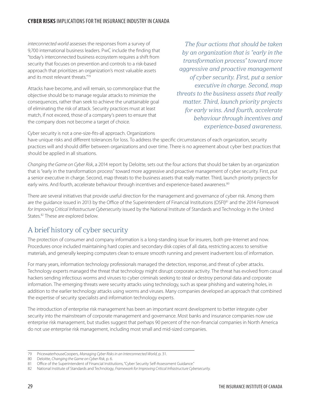*interconnected world* assesses the responses from a survey of 9,700 international business leaders. PwC include the finding that "today's interconnected business ecosystem requires a shift from security that focuses on prevention and controls to a risk-based approach that prioritizes an organization's most valuable assets and its most relevant threats."79

Attacks have become, and will remain, so commonplace that the objective should be to manage regular attacks to minimize the consequences, rather than seek to achieve the unattainable goal of eliminating the risk of attack. Security practices must at least match, if not exceed, those of a company's peers to ensure that the company does not become a target of choice.

*The four actions that should be taken by an organization that is "early in the transformation process" toward more aggressive and proactive management of cyber security. First, put a senior executive in charge. Second, map threats to the business assets that really matter. Third, launch priority projects for early wins. And fourth, accelerate behaviour through incentives and experience-based awareness.*

Cyber security is not a one-size-fits-all approach. Organizations

have unique risks and different tolerances for loss. To address the specific circumstances of each organization, security practices will and should differ between organizations and over time. There is no agreement about cyber best practices that should be applied in all situations.

*Changing the Game on Cyber Risk*, a 2014 report by Deloitte, sets out the four actions that should be taken by an organization that is "early in the transformation process" toward more aggressive and proactive management of cyber security. First, put a senior executive in charge. Second, map threats to the business assets that really matter. Third, launch priority projects for early wins. And fourth, accelerate behaviour through incentives and experience-based awareness.<sup>80</sup>

There are several initiatives that provide useful direction for the management and governance of cyber risk. Among them are the guidance issued in 2013 by the Office of the Superintendent of Financial Institutions (OSFI)81 and the 2014 *Framework for Improving Critical Infrastructure Cybersecurity* issued by the National Institute of Standards and Technology in the United States.<sup>82</sup> These are explored below.

### A brief history of cyber security

The protection of consumer and company information is a long-standing issue for insurers, both pre-Internet and now. Procedures once included maintaining hard copies and secondary disk copies of all data, restricting access to sensitive materials, and generally keeping computers clean to ensure smooth running and prevent inadvertent loss of information.

For many years, information technology professionals managed the detection, response, and threat of cyber attacks. Technology experts managed the threat that technology might disrupt corporate activity. The threat has evolved from casual hackers sending infectious worms and viruses to cyber criminals seeking to steal or destroy personal data and corporate information. The emerging threats were security attacks using technology, such as spear phishing and watering holes, in addition to the earlier technology attacks using worms and viruses. Many companies developed an approach that combined the expertise of security specialists and information technology experts.

The introduction of enterprise risk management has been an important recent development to better integrate cyber security into the mainstream of corporate management and governance. Most banks and insurance companies now use enterprise risk management, but studies suggest that perhaps 90 percent of the non-financial companies in North America do not use enterprise risk management, including most small and mid-sized companies.

<sup>79</sup> PricewaterhouseCoopers, *Managing Cyber Risks in an Interconnected World*, p. 31.

<sup>80</sup> Deloitte, *Changing the Game on Cyber Risk*, p. 6.

<sup>81</sup> Office of the Superintendent of Financial Institutions, "Cyber Security Self-Assessment Guidance."

<sup>82</sup> National Institute of Standards and Technology, *Framework for Improving Critical Infrastructure Cybersecurity*.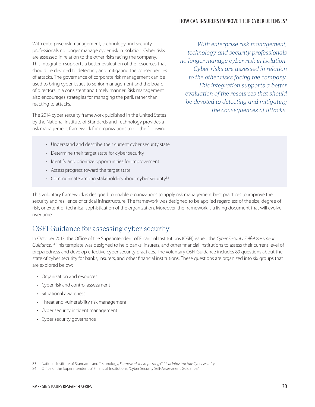#### HOW CAN INSURERS IMPROVE THEIR CYBER DEFENSES?

With enterprise risk management, technology and security professionals no longer manage cyber risk in isolation. Cyber risks are assessed in relation to the other risks facing the company. This integration supports a better evaluation of the resources that should be devoted to detecting and mitigating the consequences of attacks. The governance of corporate risk management can be used to bring cyber issues to senior management and the board of directors in a consistent and timely manner. Risk management also encourages strategies for managing the peril, rather than reacting to attacks.

The 2014 cyber security framework published in the United States by the National Institute of Standards and Technology provides a risk management framework for organizations to do the following:

*With enterprise risk management, technology and security professionals no longer manage cyber risk in isolation. Cyber risks are assessed in relation to the other risks facing the company. This integration supports a better evaluation of the resources that should be devoted to detecting and mitigating the consequences of attacks.* 

- Understand and describe their current cyber security state
- Determine their target state for cyber security
- Identify and prioritize opportunities for improvement
- Assess progress toward the target state
- Communicate among stakeholders about cyber security $83$

This voluntary framework is designed to enable organizations to apply risk management best practices to improve the security and resilience of critical infrastructure. The framework was designed to be applied regardless of the size, degree of risk, or extent of technical sophistication of the organization. Moreover, the framework is a living document that will evolve over time.

### OSFI Guidance for assessing cyber security

In October 2013, the Office of the Superintendent of Financial Institutions (OSFI) issued the *Cyber Security Self-Assessment Guidance*. 84 This template was designed to help banks, insurers, and other financial institutions to assess their current level of preparedness and develop effective cyber security practices. The voluntary OSFI Guidance includes 89 questions about the state of cyber security for banks, insurers, and other financial institutions. These questions are organized into six groups that are explored below:

- • Organization and resources
- • Cyber risk and control assessment
- Situational awareness
- Threat and vulnerability risk management
- • Cyber security incident management
- • Cyber security governance

<sup>83</sup> National Institute of Standards and Technology, *Framework for Improving Critical Infrastructure Cybersecurity*.

<sup>84</sup> Office of the Superintendent of Financial Institutions, "Cyber Security Self-Assessment Guidance."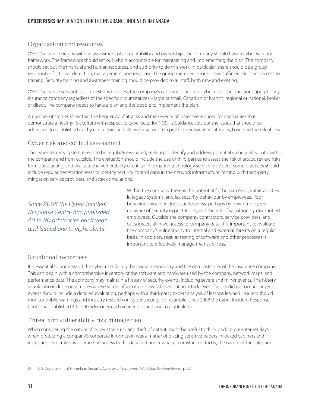### Organization and resources

OSFI's Guidance begins with an assessment of accountability and ownership. The company should have a cyber security framework. The framework should set out who is accountable for maintaining and implementing the plan. The company should set out the financial and human resources, and authority to do this work. In particular, there should be a group responsible for threat detection, management, and response. The group members should have sufficient skills and access to training. Security training and awareness training should be provided to all staff, both new and existing.

OSFI's Guidance sets out basic questions to assess the company's capacity to address cyber risks. The questions apply to any insurance company regardless of the specific circumstances – large or small, Canadian or branch, regional or national, broker or direct. The company needs to have a plan and the people to implement the plan.

A number of studies show that the frequency of attacks and the severity of losses are reduced for companies that demonstrate a healthy risk culture with respect to cyber security.<sup>85</sup> OSFI's Guidance sets out the issues that should be addressed to establish a healthy risk culture, and allows for variation in practices between institutions, based on the risk of loss.

### Cyber risk and control assessment

The cyber security system needs to be regularly evaluated, seeking to identify and address potential vulnerability both within the company and from outside. The evaluation should include the use of third parties to assess the risk of attack, review risks from outsourcing, and evaluate the vulnerability of critical information technology service providers. Some practices should include regular penetration tests to identify security control gaps in the network infrastructure, testing with third-party mitigation service providers, and attack simulations.

*Since 2008 the Cyber Incident Response Centre has published 40 to 90 advisories each year and issued one to eight alerts.*

Within the company there is the potential for human error, vulnerabilities in legacy systems, and lax security behaviour by employees. Poor behaviour would include carelessness, perhaps by new employees unaware of security expectations, and the risk of sabotage by disgruntled employees. Outside the company, contractors, service providers, and outsourcers all have access to company data. It is important to evaluate the company's vulnerability to internal and external threats on a regular basis. In addition, regular testing of software and other processes is important to effectively manage the risk of loss.

### Situational awareness

It is essential to understand the cyber risks facing the insurance industry and the circumstances of the insurance company. This can begin with a comprehensive inventory of the software and hardware used by the company, network maps, and performance data. The company may maintain a history of security events, including severe and minor events. The history should also include near misses where some information is available about an attack, even if a loss did not occur. Larger events should include a detailed evaluation, perhaps with a third-party expert analysis of lessons learned. Insurers should monitor public warnings and industry research on cyber security. For example, since 2008 the Cyber Incident Response Centre has published 40 to 90 advisories each year and issued one to eight alerts.

### Threat and vulnerability risk management

When considering the nature of cyber attack risk and theft of data, it might be useful to think back to pre-Internet days, when protecting a company's corporate information was a matter of placing sensitive papers in locked cabinets and instituting strict rules as to who had access to the data and under what circumstances. Today, the nature of the safes and

<sup>85</sup> U.S. Department of Homeland Security, *Cybersecurity Insurance Workshop Readout Report*, p. 32.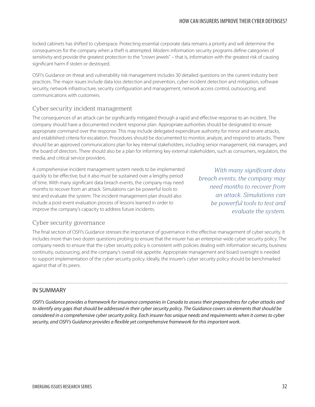locked cabinets has shifted to cyberspace. Protecting essential corporate data remains a priority and will determine the consequences for the company when a theft is attempted. Modern information security programs define categories of sensitivity and provide the greatest protection to the "crown jewels" – that is, information with the greatest risk of causing significant harm if stolen or destroyed.

OSFI's Guidance on threat and vulnerability risk management includes 30 detailed questions on the current industry best practices. The major issues include data loss detection and prevention, cyber incident detection and mitigation, software security, network infrastructure, security configuration and management, network access control, outsourcing, and communications with customers.

### Cyber security incident management

The consequences of an attack can be significantly mitigated through a rapid and effective response to an incident. The company should have a documented incident response plan. Appropriate authorities should be designated to ensure appropriate command over the response. This may include delegated expenditure authority for minor and severe attacks, and established criteria for escalation. Procedures should be documented to monitor, analyze, and respond to attacks. There should be an approved communications plan for key internal stakeholders, including senior management, risk managers, and the board of directors. There should also be a plan for informing key external stakeholders, such as consumers, regulators, the media, and critical service providers.

A comprehensive incident management system needs to be implemented quickly to be effective, but it also must be sustained over a lengthy period of time. With many significant data breach events, the company may need months to recover from an attack. Simulations can be powerful tools to test and evaluate the system. The incident management plan should also include a post-event evaluation process of lessons learned in order to improve the company's capacity to address future incidents.

*With many significant data breach events, the company may need months to recover from an attack. Simulations can be powerful tools to test and evaluate the system.* 

### Cyber security governance

The final section of OSFI's Guidance stresses the importance of governance in the effective management of cyber security. It includes more than two dozen questions probing to ensure that the insurer has an enterprise-wide cyber security policy. The company needs to ensure that the cyber security policy is consistent with policies dealing with information security, business continuity, outsourcing, and the company's overall risk appetite. Appropriate management and board oversight is needed to support implementation of the cyber security policy. Ideally, the insurer's cyber security policy should be benchmarked against that of its peers.

### IN SUMMARY

*OSFI's Guidance provides a framework for insurance companies in Canada to assess their preparedness for cyber attacks and to identify any gaps that should be addressed in their cyber security policy. The Guidance covers six elements that should be considered in a comprehensive cyber security policy. Each insurer has unique needs and requirements when it comes to cyber security, and OSFI's Guidance provides a flexible yet comprehensive framework for this important work.*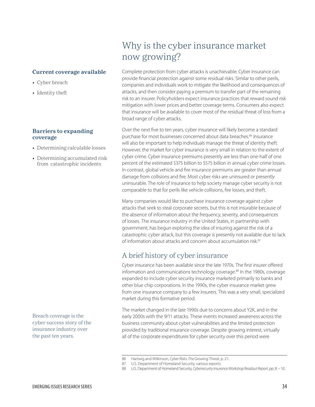#### <span id="page-38-0"></span>**Current coverage available**

- Cyber breach
- Identity theft

#### **Barriers to expanding coverage**

- Determining calculable losses
- Determining accumulated risk from catastrophic incidents

Breach coverage is the cyber success story of the insurance industry over the past ten years.

## Why is the cyber insurance market now growing?

Complete protection from cyber attacks is unachievable. Cyber insurance can provide financial protection against some residual risks. Similar to other perils, companies and individuals work to mitigate the likelihood and consequences of attacks, and then consider paying a premium to transfer part of the remaining risk to an insurer. Policyholders expect insurance practices that reward sound risk mitigation with lower prices and better coverage terms. Consumers also expect that insurance will be available to cover most of the residual threat of loss from a broad range of cyber attacks.

Over the next five to ten years, cyber insurance will likely become a standard purchase for most businesses concerned about data breaches.<sup>86</sup> Insurance will also be important to help individuals manage the threat of identity theft. However, the market for cyber insurance is very small in relation to the extent of cyber crime. Cyber insurance premiums presently are less than one-half of one percent of the estimated \$375 billion to \$575 billion in annual cyber crime losses. In contrast, global vehicle and fire insurance premiums are greater than annual damage from collisions and fire. Most cyber risks are uninsured or presently uninsurable. The role of insurance to help society manage cyber security is not comparable to that for perils like vehicle collisions, fire losses, and theft.

Many companies would like to purchase insurance coverage against cyber attacks that seek to steal corporate secrets, but this is not insurable because of the absence of information about the frequency, severity, and consequences of losses. The insurance industry in the United States, in partnership with government, has begun exploring the idea of insuring against the risk of a catastrophic cyber attack, but this coverage is presently not available due to lack of information about attacks and concern about accumulation risk.<sup>87</sup>

### A brief history of cyber insurance

Cyber insurance has been available since the late 1970s. The first insurer offered information and communications technology coverage.<sup>88</sup> In the 1980s, coverage expanded to include cyber security insurance marketed primarily to banks and other blue chip corporations. In the 1990s, the cyber insurance market grew from one insurance company to a few insurers. This was a very small, specialized market during this formative period.

The market changed in the late 1990s due to concerns about Y2K, and in the early 2000s with the 9/11 attacks. These events increased awareness across the business community about cyber vulnerabilities and the limited protection provided by traditional insurance coverage. Despite growing interest, virtually all of the corporate expenditures for cyber security over this period were

<sup>86</sup> Hartwig and Wilkinson, *Cyber Risks: The Growing Threat*, p. 21.

<sup>87</sup> U.S. Department of Homeland Security, various reports.

<sup>88</sup> U.S. Department of Homeland Security, *Cybersecurity Insurance Workshop Readout Report*, pp. 8 − 10.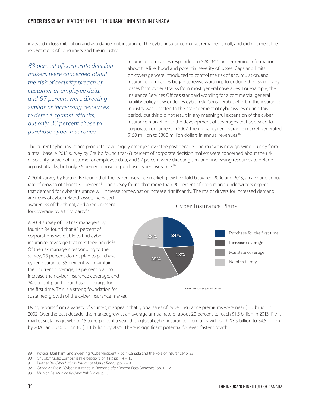invested in loss mitigation and avoidance, not insurance. The cyber insurance market remained small, and did not meet the expectations of consumers and the industry.

*63 percent of corporate decision makers were concerned about the risk of security breach of customer or employee data, and 97 percent were directing similar or increasing resources to defend against attacks, but only 36 percent chose to purchase cyber insurance.*

Insurance companies responded to Y2K, 9/11, and emerging information about the likelihood and potential severity of losses. Caps and limits on coverage were introduced to control the risk of accumulation, and insurance companies began to revise wordings to exclude the risk of many losses from cyber attacks from most general coverages. For example, the Insurance Services Office's standard wording for a commercial general liability policy now excludes cyber risk. Considerable effort in the insurance industry was directed to the management of cyber issues during this period, but this did not result in any meaningful expansion of the cyber insurance market, or to the development of coverages that appealed to corporate consumers. In 2002, the global cyber insurance market generated \$150 million to \$300 million dollars in annual revenues.<sup>89</sup>

The current cyber insurance products have largely emerged over the past decade. The market is now growing quickly from a small base. A 2012 survey by Chubb found that 63 percent of corporate decision makers were concerned about the risk of security breach of customer or employee data, and 97 percent were directing similar or increasing resources to defend against attacks, but only 36 percent chose to purchase cyber insurance.<sup>90</sup>

A 2014 survey by Partner Re found that the cyber insurance market grew five-fold between 2006 and 2013, an average annual rate of growth of almost 30 percent.<sup>91</sup> The survey found that more than 90 percent of brokers and underwriters expect that demand for cyber insurance will increase somewhat or increase significantly. The major drivers for increased demand are news of cyber related losses, increased

awareness of the threat, and a requirement for coverage by a third party.<sup>92</sup>

A 2014 survey of 100 risk managers by Munich Re found that 82 percent of corporations were able to find cyber insurance coverage that met their needs.<sup>93</sup> Of the risk managers responding to the survey, 23 percent do not plan to purchase cyber insurance, 35 percent will maintain their current coverage, 18 percent plan to increase their cyber insurance coverage, and 24 percent plan to purchase coverage for the first time. This is a strong foundation for sustained growth of the cyber insurance market. Cyber Insurance Plans



Using reports from a variety of sources, it appears that global sales of cyber insurance premiums were near \$0.2 billion in 2002. Over the past decade, the market grew at an average annual rate of about 20 percent to reach \$1.5 billion in 2013. If this market sustains growth of 15 to 20 percent a year, then global cyber insurance premiums will reach \$3.5 billion to \$4.5 billion by 2020, and \$7.0 billion to \$11.1 billion by 2025. There is significant potential for even faster growth.

<sup>89</sup> Kovacs, Markham, and Sweeting, "Cyber-Incident Risk in Canada and the Role of Insurance," p. 23.

<sup>90</sup> Chubb, "Public Companies' Perceptions of Risk," pp. 14 – 15.

<sup>91</sup> Partner Re, *Cyber Liability Insurance Market Trends*, pp. 2 − 4.

<sup>92</sup> Canadian Press, "Cyber Insurance in Demand after Recent Data Breaches," pp. 1 − 2.

<sup>93</sup> Munich Re, *Munich Re Cyber Risk Survey*, p. 1.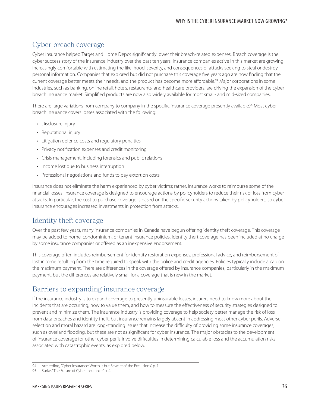#### WHY IS THE CYBER INSURANCE MARKET NOW GROWING?

### Cyber breach coverage

Cyber insurance helped Target and Home Depot significantly lower their breach-related expenses. Breach coverage is the cyber success story of the insurance industry over the past ten years. Insurance companies active in this market are growing increasingly comfortable with estimating the likelihood, severity, and consequences of attacks seeking to steal or destroy personal information. Companies that explored but did not purchase this coverage five years ago are now finding that the current coverage better meets their needs, and the product has become more affordable.<sup>94</sup> Major corporations in some industries, such as banking, online retail, hotels, restaurants, and healthcare providers, are driving the expansion of the cyber breach insurance market. Simplified products are now also widely available for most small- and mid-sized companies.

There are large variations from company to company in the specific insurance coverage presently available.<sup>95</sup> Most cyber breach insurance covers losses associated with the following:

- Disclosure injury
- Reputational injury
- • Litigation defence costs and regulatory penalties
- Privacy notification expenses and credit monitoring
- • Crisis management, including forensics and public relations
- Income lost due to business interruption
- Professional negotiations and funds to pay extortion costs

Insurance does not eliminate the harm experienced by cyber victims; rather, insurance works to reimburse some of the financial losses. Insurance coverage is designed to encourage actions by policyholders to reduce their risk of loss from cyber attacks. In particular, the cost to purchase coverage is based on the specific security actions taken by policyholders, so cyber insurance encourages increased investments in protection from attacks.

### Identity theft coverage

Over the past few years, many insurance companies in Canada have begun offering identity theft coverage. This coverage may be added to home, condominium, or tenant insurance policies. Identity theft coverage has been included at no charge by some insurance companies or offered as an inexpensive endorsement.

This coverage often includes reimbursement for identity restoration expenses, professional advice, and reimbursement of lost income resulting from the time required to speak with the police and credit agencies. Policies typically include a cap on the maximum payment. There are differences in the coverage offered by insurance companies, particularly in the maximum payment, but the differences are relatively small for a coverage that is new in the market.

### Barriers to expanding insurance coverage

If the insurance industry is to expand coverage to presently uninsurable losses, insurers need to know more about the incidents that are occurring, how to value them, and how to measure the effectiveness of security strategies designed to prevent and minimize them. The insurance industry is providing coverage to help society better manage the risk of loss from data breaches and identity theft, but insurance remains largely absent in addressing most other cyber perils. Adverse selection and moral hazard are long-standing issues that increase the difficulty of providing some insurance coverages, such as overland flooding, but these are not as significant for cyber insurance. The major obstacles to the development of insurance coverage for other cyber perils involve difficulties in determining calculable loss and the accumulation risks associated with catastrophic events, as explored below.

<sup>94</sup> Armerding, "Cyber insurance: Worth It but Beware of the Exclusions," p. 1.

<sup>95</sup> Burke, "The Future of Cyber Insurance," p. 4.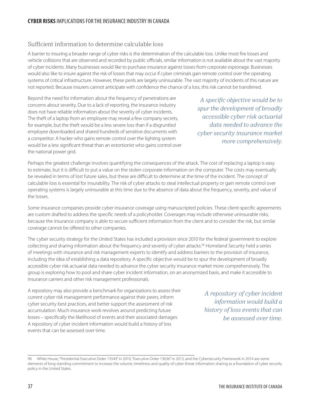### **CYBER RISKS** IMPLICATIONS FOR THE INSURANCE INDUSTRY IN CANADA

### Sufficient information to determine calculable loss

A barrier to insuring a broader range of cyber risks is the determination of the calculable loss. Unlike most fire losses and vehicle collisions that are observed and recorded by public officials, similar information is not available about the vast majority of cyber incidents. Many businesses would like to purchase insurance against losses from corporate espionage. Businesses would also like to insure against the risk of losses that may occur if cyber criminals gain remote control over the operating systems of critical infrastructure. However, these perils are largely uninsurable. The vast majority of incidents of this nature are not reported. Because insurers cannot anticipate with confidence the chance of a loss, this risk cannot be transferred.

Beyond the need for information about the frequency of penetrations are concerns about severity. Due to a lack of reporting, the insurance industry does not have reliable information about the severity of cyber incidents. The theft of a laptop from an employee may reveal a few company secrets, for example, but the theft would be a less severe loss than if a disgruntled employee downloaded and shared hundreds of sensitive documents with a competitor. A hacker who gains remote control over the lighting system would be a less significant threat than an extortionist who gains control over the national power grid.

*A specific objective would be to spur the development of broadly accessible cyber risk actuarial data needed to advance the cyber security insurance market more comprehensively.* 

Perhaps the greatest challenge involves quantifying the consequences of the attack. The cost of replacing a laptop is easy to estimate, but it is difficult to put a value on the stolen corporate information on the computer. The costs may eventually be revealed in terms of lost future sales, but these are difficult to determine at the time of the incident. The concept of calculable loss is essential for insurability. The risk of cyber attacks to steal intellectual property or gain remote control over operating systems is largely uninsurable at this time due to the absence of data about the frequency, severity, and value of the losses.

Some insurance companies provide cyber insurance coverage using manuscripted policies. These client-specific agreements are custom drafted to address the specific needs of a policyholder. Coverages may include otherwise uninsurable risks, because the insurance company is able to secure sufficient information from the client and to consider the risk, but similar coverage cannot be offered to other companies.

The cyber security strategy for the United States has included a provision since 2010 for the federal government to explore collecting and sharing information about the frequency and severity of cyber attacks.<sup>96</sup> Homeland Security held a series of meetings with insurance and risk management experts to identify and address barriers to the provision of insurance, including the idea of establishing a data repository. A specific objective would be to spur the development of broadly accessible cyber risk actuarial data needed to advance the cyber security insurance market more comprehensively. The group is exploring how to pool and share cyber incident information, on an anonymized basis, and make it accessible to insurance carriers and other risk management professionals.

A repository may also provide a benchmark for organizations to assess their current cyber risk management performance against their peers, inform cyber security best practices, and better support the assessment of risk accumulation. Much insurance work revolves around predicting future losses – specifically the likelihood of events and their associated damages. A repository of cyber incident information would build a history of loss events that can be assessed over time.

*A repository of cyber incident information would build a history of loss events that can be assessed over time.*

<sup>96</sup> White House, "Presidential Executive Order 13549" in 2010, "Executive Order 13636" in 2013, and the Cybersecurity Framework in 2014 are some elements of long-standing commitment to increase the volume, timeliness and quality of cyber threat information sharing as a foundation of cyber security policy in the United States.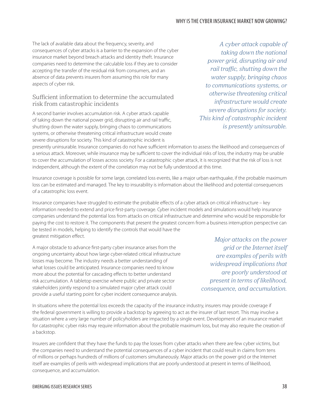The lack of available data about the frequency, severity, and consequences of cyber attacks is a barrier to the expansion of the cyber insurance market beyond breach attacks and identity theft. Insurance companies need to determine the calculable loss if they are to consider accepting the transfer of the residual risk from consumers, and an absence of data prevents insurers from assuming this role for many aspects of cyber risk.

### Sufficient information to determine the accumulated risk from catastrophic incidents

A second barrier involves accumulation risk. A cyber attack capable of taking down the national power grid, disrupting air and rail traffic, shutting down the water supply, bringing chaos to communications systems, or otherwise threatening critical infrastructure would create severe disruptions for society. This kind of catastrophic incident is

*A cyber attack capable of taking down the national power grid, disrupting air and rail traffic, shutting down the water supply, bringing chaos to communications systems, or otherwise threatening critical infrastructure would create severe disruptions for society. This kind of catastrophic incident is presently uninsurable.* 

presently uninsurable. Insurance companies do not have sufficient information to assess the likelihood and consequences of a serious attack. Moreover, while insurance may be sufficient to cover the individual risks of loss, the industry may be unable to cover the accumulation of losses across society. For a catastrophic cyber attack, it is recognized that the risk of loss is not independent, although the extent of the correlation may not be fully understood at this time.

Insurance coverage is possible for some large, correlated loss events, like a major urban earthquake, if the probable maximum loss can be estimated and managed. The key to insurability is information about the likelihood and potential consequences of a catastrophic loss event.

Insurance companies have struggled to estimate the probable effects of a cyber attack on critical infrastructure – key information needed to extend and price first-party coverage. Cyber incident models and simulations would help insurance companies understand the potential loss from attacks on critical infrastructure and determine who would be responsible for paying the cost to restore it. The components that present the greatest concern from a business interruption perspective can be tested in models, helping to identify the controls that would have the greatest mitigation effect.

A major obstacle to advance first-party cyber insurance arises from the ongoing uncertainty about how large cyber-related critical infrastructure losses may become. The industry needs a better understanding of what losses could be anticipated. Insurance companies need to know more about the potential for cascading effects to better understand risk accumulation. A tabletop exercise where public and private sector stakeholders jointly respond to a simulated major cyber attack could provide a useful starting point for cyber incident consequence analysis.

*Major attacks on the power grid or the Internet itself are examples of perils with widespread implications that are poorly understood at present in terms of likelihood, consequence, and accumulation.*

In situations where the potential loss exceeds the capacity of the insurance industry, insurers may provide coverage if the federal government is willing to provide a backstop by agreeing to act as the insurer of last resort. This may involve a situation where a very large number of policyholders are impacted by a single event. Development of an insurance market for catastrophic cyber risks may require information about the probable maximum loss, but may also require the creation of a backstop.

Insurers are confident that they have the funds to pay the losses from cyber attacks when there are few cyber victims, but the companies need to understand the potential consequences of a cyber incident that could result in claims from tens of millions or perhaps hundreds of millions of customers simultaneously. Major attacks on the power grid or the Internet itself are examples of perils with widespread implications that are poorly understood at present in terms of likelihood, consequence, and accumulation.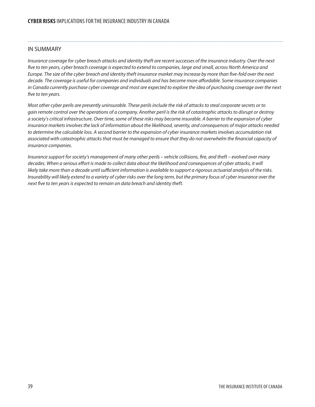#### IN SUMMARY

*Insurance coverage for cyber breach attacks and identity theft are recent successes of the insurance industry. Over the next five to ten years, cyber breach coverage is expected to extend to companies, large and small, across North America and Europe. The size of the cyber breach and identity theft insurance market may increase by more than five-fold over the next decade. The coverage is useful for companies and individuals and has become more affordable. Some insurance companies in Canada currently purchase cyber coverage and most are expected to explore the idea of purchasing coverage over the next five to ten years.*

*Most other cyber perils are presently uninsurable. These perils include the risk of attacks to steal corporate secrets or to gain remote control over the operations of a company. Another peril is the risk of catastrophic attacks to disrupt or destroy a society's critical infrastructure. Over time, some of these risks may become insurable. A barrier to the expansion of cyber insurance markets involves the lack of information about the likelihood, severity, and consequences of major attacks needed to determine the calculable loss. A second barrier to the expansion of cyber insurance markets involves accumulation risk associated with catastrophic attacks that must be managed to ensure that they do not overwhelm the financial capacity of insurance companies.*

*Insurance support for society's management of many other perils – vehicle collisions, fire, and theft – evolved over many decades. When a serious effort is made to collect data about the likelihood and consequences of cyber attacks, it will likely take more than a decade until sufficient information is available to support a rigorous actuarial analysis of the risks. Insurability will likely extend to a variety of cyber risks over the long term, but the primary focus of cyber insurance over the next five to ten years is expected to remain on data breach and identity theft.*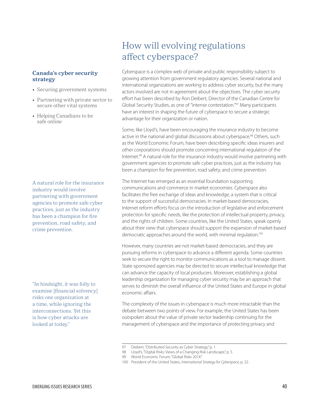#### <span id="page-44-0"></span>**Canada's cyber security strategy**

- Securing government systems
- Partnering with private sector to secure other vital systems
- Helping Canadians to be safe online

A natural role for the insurance industry would involve partnering with government agencies to promote safe cyber practices, just as the industry has been a champion for fire prevention, road safety, and crime prevention.

"In hindsight, it was folly to examine [financial solvency] risks one organization at a time, while ignoring the interconnections. Yet this is how cyber attacks are looked at today."

## How will evolving regulations affect cyberspace?

Cyberspace is a complex web of private and public responsibility subject to growing attention from government regulatory agencies. Several national and international organizations are working to address cyber security, but the many actors involved are not in agreement about the objectives. The cyber security effort has been described by Ron Deibert, Director of the Canadian Centre for Global Security Studies, as one of "intense contestation."97 Many participants have an interest in shaping the future of cyberspace to secure a strategic advantage for their organization or nation.

Some, like Lloyd's, have been encouraging the insurance industry to become active in the national and global discussions about cyberspace.<sup>98</sup> Others, such as the World Economic Forum, have been describing specific ideas insurers and other corporations should promote concerning international regulation of the Internet.<sup>99</sup> A natural role for the insurance industry would involve partnering with government agencies to promote safe cyber practices, just as the industry has been a champion for fire prevention, road safety, and crime prevention.

The Internet has emerged as an essential foundation supporting communications and commerce in market economies. Cyberspace also facilitates the free exchange of ideas and knowledge, a system that is critical to the support of successful democracies. In market-based democracies, Internet reform efforts focus on the introduction of legislative and enforcement protection for specific needs, like the protection of intellectual property, privacy, and the rights of children. Some countries, like the United States, speak openly about their view that cyberspace should support the expansion of market-based democratic approaches around the world, with minimal regulation.<sup>100</sup>

However, many countries are not market-based democracies, and they are pursuing reforms in cyberspace to advance a different agenda. Some countries seek to secure the right to monitor communications as a tool to manage dissent. State-sponsored agencies may be directed to secure intellectual knowledge that can advance the capacity of local producers. Moreover, establishing a global leadership organization for managing cyber security may be an approach that serves to diminish the overall influence of the United States and Europe in global economic affairs.

The complexity of the issues in cyberspace is much more intractable than the debate between two points of view. For example, the United States has been outspoken about the value of private sector leadership continuing for the management of cyberspace and the importance of protecting privacy and

<sup>97</sup> Deibert, "Distributed Security as Cyber Strategy," p. 1.

<sup>98</sup> Lloyd's, "Digital Risks: Views of a Changing Risk Landscape," p. 5.

<sup>99</sup> World Economic Forum, "Global Risks 2014."

<sup>100</sup> President of the United States, *International Strategy for Cyberspace*, p. 22.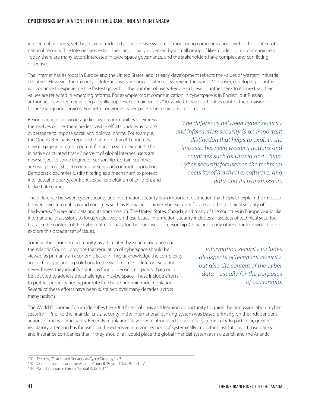#### **CYBER RISKS** IMPLICATIONS FOR THE INSURANCE INDUSTRY IN CANADA

intellectual property, yet they have introduced an aggressive system of monitoring communications within the context of national security. The Internet was established and initially governed by a small group of like-minded computer engineers. Today, there are many actors interested in cyberspace governance, and the stakeholders have complex and conflicting objectives.

The Internet has its roots in Europe and the United States, and its early development reflects the values of western industrial countries. However, the majority of Internet users are now located elsewhere in the world. Moreover, developing countries will continue to experience the fastest growth in the number of users. People in these countries seek to ensure that their values are reflected in emerging reforms. For example, most communication in cyberspace is in English, but Russian authorities have been providing a Cyrillic top-level domain since 2010, while Chinese authorities control the provision of Chinese language services. For better or worse, cyberspace is becoming more complex.

Beyond actions to encourage linguistic communities to express themselves online, there are less visible efforts underway to use cyberspace to impose social and political norms. For example, the OpenNet Initiative reported that more than 40 countries now engage in Internet content filtering to some extent.<sup>101</sup> The Initiative calculated that 47 percent of global Internet users are now subject to some degree of censorship. Certain countries are using censorship to control dissent and confront opposition. Democratic countries justify filtering as a mechanism to protect intellectual property, confront sexual exploitation of children, and tackle hate crimes.

*The difference between cyber security and information security is an important distinction that helps to explain the impasse between western nations and countries such as Russia and China. Cyber security focuses on the technical security of hardware, software, and data and its transmission.*

The difference between cyber security and information security is an important distinction that helps to explain the impasse between western nations and countries such as Russia and China. Cyber security focuses on the technical security of hardware, software, and data and its transmission. The United States, Canada, and many of the countries in Europe would like international discussions to focus exclusively on these issues. Information security includes all aspects of technical security, but also the content of the cyber data – usually for the purposes of censorship. China and many other countries would like to explore this broader set of issues.

Some in the business community, as articulated by Zurich Insurance and the Atlantic Council, propose that regulation of cyberspace should be viewed as primarily an economic issue.<sup>102</sup> They acknowledge the complexity and difficulty in finding solutions to the systemic risk of Internet security, nevertheless they identify solutions found in economic policy that could be adapted to address the challenges in cyberspace. These include efforts to protect property rights, promote free trade, and minimize regulation. Several of these efforts have been sustained over many decades, across many nations.

*Information security includes all aspects of technical security, but also the content of the cyber data – usually for the purposes of censorship.*

The World Economic Forum identifies the 2008 financial crisis as a learning opportunity to guide the discussion about cyber security.<sup>103</sup> Prior to the financial crisis, security in the international banking system was based primarily on the independent actions of many participants. Recently regulations have been introduced to address systemic risks. In particular, greater regulatory attention has focused on the extensive interconnections of systemically important institutions – those banks and insurance companies that, if they should fail, could place the global financial system at risk. Zurich and the Atlantic

<sup>101</sup> Deibert, "Distributed Security as Cyber Strategy," p. 7.

<sup>102</sup> Zurich Insurance and the Atlantic Council, "Beyond Data Breaches."

<sup>103</sup> World Economic Forum, "Global Risks 2014."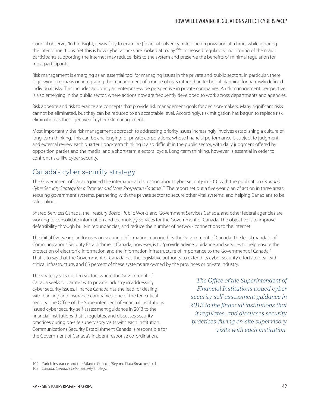Council observe, "In hindsight, it was folly to examine [financial solvency] risks one organization at a time, while ignoring the interconnections. Yet this is how cyber attacks are looked at today."<sup>104</sup> Increased regulatory monitoring of the major participants supporting the Internet may reduce risks to the system and preserve the benefits of minimal regulation for most participants.

Risk management is emerging as an essential tool for managing issues in the private and public sectors. In particular, there is growing emphasis on integrating the management of a range of risks rather than technical planning for narrowly defined individual risks. This includes adopting an enterprise-wide perspective in private companies. A risk management perspective is also emerging in the public sector, where actions now are frequently developed to work across departments and agencies.

Risk appetite and risk tolerance are concepts that provide risk management goals for decision-makers. Many significant risks cannot be eliminated, but they can be reduced to an acceptable level. Accordingly, risk mitigation has begun to replace risk elimination as the objective of cyber risk management.

Most importantly, the risk management approach to addressing priority issues increasingly involves establishing a culture of long-term thinking. This can be challenging for private corporations, whose financial performance is subject to judgment and external review each quarter. Long-term thinking is also difficult in the public sector, with daily judgment offered by opposition parties and the media, and a short-term electoral cycle. Long-term thinking, however, is essential in order to confront risks like cyber security.

### Canada's cyber security strategy

The Government of Canada joined the international discussion about cyber security in 2010 with the publication *Canada's*  Cyber Security Strategy for a Stronger and More Prosperous Canada.<sup>105</sup> The report set out a five-year plan of action in three areas: securing government systems, partnering with the private sector to secure other vital systems, and helping Canadians to be safe online.

Shared Services Canada, the Treasury Board, Public Works and Government Services Canada, and other federal agencies are working to consolidate information and technology services for the Government of Canada. The objective is to improve defensibility through built-in redundancies, and reduce the number of network connections to the Internet.

The initial five-year plan focuses on securing information managed by the Government of Canada. The legal mandate of Communications Security Establishment Canada, however, is to "provide advice, guidance and services to help ensure the protection of electronic information and the information infrastructure of importance to the Government of Canada." That is to say that the Government of Canada has the legislative authority to extend its cyber security efforts to deal with critical infrastructure, and 85 percent of these systems are owned by the provinces or private industry.

The strategy sets out ten sectors where the Government of Canada seeks to partner with private industry in addressing cyber security issues. Finance Canada has the lead for dealing with banking and insurance companies, one of the ten critical sectors. The Office of the Superintendent of Financial Institutions issued cyber security self-assessment guidance in 2013 to the financial institutions that it regulates, and discusses security practices during on-site supervisory visits with each institution. Communications Security Establishment Canada is responsible for the Government of Canada's incident response co-ordination.

*The Office of the Superintendent of Financial Institutions issued cyber security self-assessment guidance in 2013 to the financial institutions that it regulates, and discusses security practices during on-site supervisory visits with each institution.* 

<sup>104</sup> Zurich Insurance and the Atlantic Council, "Beyond Data Breaches," p. 1.

<sup>105</sup> Canada, *Canada's Cyber Security Strategy*.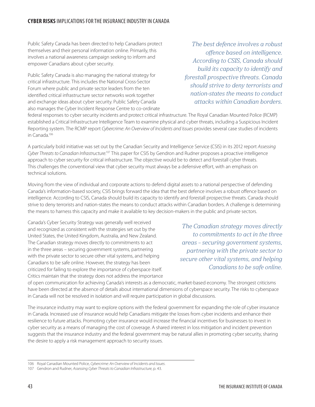Public Safety Canada has been directed to help Canadians protect themselves and their personal information online. Primarily, this involves a national awareness campaign seeking to inform and empower Canadians about cyber security.

Public Safety Canada is also managing the national strategy for critical infrastructure. This includes the National Cross-Sector Forum where public and private sector leaders from the ten identified critical infrastructure sector networks work together and exchange ideas about cyber security. Public Safety Canada also manages the Cyber Incident Response Centre to co-ordinate

*The best defence involves a robust offence based on intelligence. According to CSIS, Canada should build its capacity to identify and forestall prospective threats. Canada should strive to deny terrorists and nation-states the means to conduct attacks within Canadian borders.*

federal responses to cyber security incidents and protect critical infrastructure. The Royal Canadian Mounted Police (RCMP) established a Critical Infrastructure Intelligence Team to examine physical and cyber threats, including a Suspicious Incident Reporting system. The RCMP report *Cybercrime: An Overview of Incidents and Issues* provides several case studies of incidents in Canada.106

A particularly bold initiative was set out by the Canadian Security and Intelligence Service (CSIS) in its 2012 report *Assessing*  Cyber Threats to Canadian Infrastructure.<sup>107</sup> This paper for CSIS by Gendron and Rudner proposes a proactive intelligence approach to cyber security for critical infrastructure. The objective would be to detect and forestall cyber threats. This challenges the conventional view that cyber security must always be a defensive effort, with an emphasis on technical solutions.

Moving from the view of individual and corporate actions to defend digital assets to a national perspective of defending Canada's information-based society, CSIS brings forward the idea that the best defence involves a robust offence based on intelligence. According to CSIS, Canada should build its capacity to identify and forestall prospective threats. Canada should strive to deny terrorists and nation-states the means to conduct attacks within Canadian borders. A challenge is determining the means to harness this capacity and make it available to key decision-makers in the public and private sectors.

Canada's Cyber Security Strategy was generally well received and recognized as consistent with the strategies set out by the United States, the United Kingdom, Australia, and New Zealand. The Canadian strategy moves directly to commitments to act in the three areas – securing government systems, partnering with the private sector to secure other vital systems, and helping Canadians to be safe online. However, the strategy has been criticized for failing to explore the importance of cyberspace itself. Critics maintain that the strategy does not address the importance

*The Canadian strategy moves directly to commitments to act in the three areas – securing government systems, partnering with the private sector to secure other vital systems, and helping Canadians to be safe online.*

of open communication for achieving Canada's interests as a democratic, market-based economy. The strongest criticisms have been directed at the absence of details about international dimensions of cyberspace security. The risks to cyberspace in Canada will not be resolved in isolation and will require participation in global discussions.

The insurance industry may want to explore options with the federal government for expanding the role of cyber insurance in Canada. Increased use of insurance would help Canadians mitigate the losses from cyber incidents and enhance their resilience to future attacks. Promoting cyber insurance would increase the financial incentives for businesses to invest in cyber security as a means of managing the cost of coverage. A shared interest in loss mitigation and incident prevention suggests that the insurance industry and the federal government may be natural allies in promoting cyber security, sharing the desire to apply a risk management approach to security issues.

<sup>106</sup> Royal Canadian Mounted Police, *Cybercrime: An Overview of Incidents and Issues*.

<sup>107</sup> Gendron and Rudner, *Assessing Cyber Threats to Canadian Infrastructure*, p. 43.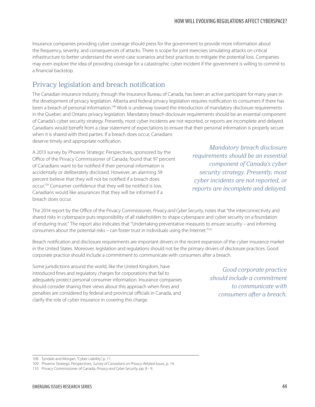Insurance companies providing cyber coverage should press for the government to provide more information about the frequency, severity, and consequences of attacks. There is scope for joint exercises simulating attacks on critical infrastructure to better understand the worst-case scenarios and best practices to mitigate the potential loss. Companies may even explore the idea of providing coverage for a catastrophic cyber incident if the government is willing to commit to a financial backstop.

## Privacy legislation and breach notification

The Canadian insurance industry, through the Insurance Bureau of Canada, has been an active participant for many years in the development of privacy legislation. Alberta and federal privacy legislation requires notification to consumers if there has been a breach of personal information.<sup>108</sup> Work is underway toward the introduction of mandatory disclosure requirements in the Quebec and Ontario privacy legislation. Mandatory breach disclosure requirements should be an essential component of Canada's cyber security strategy. Presently, most cyber incidents are not reported, or reports are incomplete and delayed. Canadians would benefit from a clear statement of expectations to ensure that their personal information is properly secure when it is shared with third parties. If a breach does occur, Canadians deserve timely and appropriate notification.

A 2013 survey by Phoenix Strategic Perspectives, sponsored by the Office of the Privacy Commissioner of Canada, found that 97 percent of Canadians want to be notified if their personal information is accidentally or deliberately disclosed. However, an alarming 59 percent believe that they will not be notified if a breach does occur.109 Consumer confidence that they will be notified is low. Canadians would like assurances that they will be informed if a breach does occur.

*Mandatory breach disclosure requirements should be an essential component of Canada's cyber security strategy. Presently, most cyber incidents are not reported, or reports are incomplete and delayed.*

The 2014 report by the Office of the Privacy Commissioner, *Privacy and Cyber Security*, notes that "the interconnectivity and shared risks in cyberspace puts responsibility of all stakeholders to shape cyberspace and cyber security on a foundation of enduring trust." The report also indicates that "Undertaking preventative measures to ensure security – and informing consumers about the potential risks – can foster trust in individuals using the Internet."110

Breach notification and disclosure requirements are important drivers in the recent expansion of the cyber insurance market in the United States. Moreover, legislation and regulations should not be the primary drivers of disclosure practices. Good corporate practice should include a commitment to communicate with consumers after a breach.

Some jurisdictions around the world, like the United Kingdom, have introduced fines and regulatory charges for corporations that fail to adequately protect personal consumer information. Insurance companies should consider sharing their views about this approach when fines and penalties are considered by federal and provincial officials in Canada, and clarify the role of cyber insurance in covering this charge.

*Good corporate practice should include a commitment to communicate with consumers after a breach.*

<sup>108</sup> Tyndale and Morgan, "Cyber Liability," p. 11.

<sup>109</sup> Phoenix Strategic Perspectives, *Survey of Canadians on Privacy-Related Issues*, p. 14.

<sup>110</sup> Privacy Commissioner of Canada, *Privacy and Cyber Security*, pp. 8 - 9.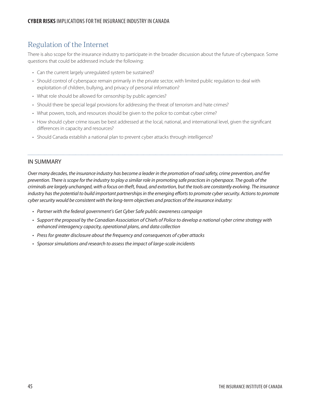### Regulation of the Internet

There is also scope for the insurance industry to participate in the broader discussion about the future of cyberspace. Some questions that could be addressed include the following:

- Can the current largely unregulated system be sustained?
- • Should control of cyberspace remain primarily in the private sector, with limited public regulation to deal with exploitation of children, bullying, and privacy of personal information?
- What role should be allowed for censorship by public agencies?
- Should there be special legal provisions for addressing the threat of terrorism and hate crimes?
- What powers, tools, and resources should be given to the police to combat cyber crime?
- How should cyber crime issues be best addressed at the local, national, and international level, given the significant differences in capacity and resources?
- Should Canada establish a national plan to prevent cyber attacks through intelligence?

#### IN SUMMARY

*Over many decades, the insurance industry has become a leader in the promotion of road safety, crime prevention, and fire prevention. There is scope for the industry to play a similar role in promoting safe practices in cyberspace. The goals of the criminals are largely unchanged, with a focus on theft, fraud, and extortion, but the tools are constantly evolving. The insurance*  industry has the potential to build important partnerships in the emerging efforts to promote cyber security. Actions to promote *cyber security would be consistent with the long-term objectives and practices of the insurance industry:*

- • *Partner with the federal government's Get Cyber Safe public awareness campaign*
- • *Support the proposal by the Canadian Association of Chiefs of Police to develop a national cyber crime strategy with enhanced interagency capacity, operational plans, and data collection*
- • *Press for greater disclosure about the frequency and consequences of cyber attacks*
- • *Sponsor simulations and research to assess the impact of large-scale incidents*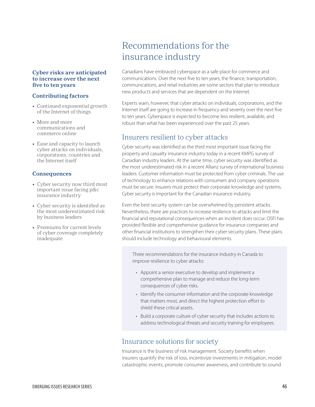#### <span id="page-50-0"></span>**Cyber risks are anticipated to increase over the next five to ten years**

#### **Contributing factors**

- Continued exponential growth of the Internet of things
- More and more communications and commerce online
- Ease and capacity to launch cyber attacks on individuals, corporations, countries and the Internet itself

#### **Consequences**

- Cyber security now third most important issue facing p&c insurance industry
- • Cyber security is identified as the most underestimated risk by business leaders
- Premiums for current levels of cyber coverage completely inadequate

## Recommendations for the insurance industry

Canadians have embraced cyberspace as a safe place for commerce and communications. Over the next five to ten years, the finance, transportation, communications, and retail industries are some sectors that plan to introduce new products and services that are dependent on the Internet.

Experts warn, however, that cyber attacks on individuals, corporations, and the Internet itself are going to increase in frequency and severity over the next five to ten years. Cyberspace is expected to become less resilient, available, and robust than what has been experienced over the past 25 years.

### Insurers resilient to cyber attacks

Cyber security was identified as the third most important issue facing the property and casualty insurance industry today in a recent KMPG survey of Canadian industry leaders. At the same time, cyber security was identified as the most underestimated risk in a recent Allianz survey of international business leaders. Customer information must be protected from cyber criminals. The use of technology to enhance relations with consumers and company operations must be secure. Insurers must protect their corporate knowledge and systems. Cyber security is important for the Canadian insurance industry.

Even the best security system can be overwhelmed by persistent attacks. Nevertheless, there are practices to increase resilience to attacks and limit the financial and reputational consequences when an incident does occur. OSFI has provided flexible and comprehensive guidance for insurance companies and other financial institutions to strengthen their cyber security plans. These plans should include technology and behavioural elements.

Three recommendations for the insurance industry in Canada to improve resilience to cyber attacks:

- Appoint a senior executive to develop and implement a comprehensive plan to manage and reduce the long-term consequences of cyber risks.
- Identify the consumer information and the corporate knowledge that matters most, and direct the highest protection effort to shield these critical assets.
- Build a corporate culture of cyber security that includes actions to address technological threats and security training for employees.

### Insurance solutions for society

Insurance is the business of risk management. Society benefits when insurers quantify the risk of loss, incentivize investments in mitigation, model catastrophic events, promote consumer awareness, and contribute to sound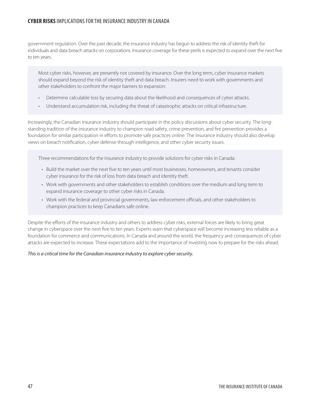#### **CYBER RISKS** IMPLICATIONS FOR THE INSURANCE INDUSTRY IN CANADA

government regulation. Over the past decade, the insurance industry has begun to address the risk of identity theft for individuals and data breach attacks on corporations. Insurance coverage for these perils is expected to expand over the next five to ten years.

Most cyber risks, however, are presently not covered by insurance. Over the long term, cyber insurance markets should expand beyond the risk of identity theft and data breach. Insurers need to work with governments and other stakeholders to confront the major barriers to expansion:

- Determine calculable loss by securing data about the likelihood and consequences of cyber attacks.
- Understand accumulation risk, including the threat of catastrophic attacks on critical infrastructure.

Increasingly, the Canadian insurance industry should participate in the policy discussions about cyber security. The longstanding tradition of the insurance industry to champion road safety, crime prevention, and fire prevention provides a foundation for similar participation in efforts to promote safe practices online. The insurance industry should also develop views on breach notification, cyber defense through intelligence, and other cyber security issues.

Three recommendations for the insurance industry to provide solutions for cyber risks in Canada:

- • Build the market over the next five to ten years until most businesses, homeowners, and tenants consider cyber insurance for the risk of loss from data breach and identity theft.
- • Work with governments and other stakeholders to establish conditions over the medium and long term to expand insurance coverage to other cyber risks in Canada.
- • Work with the federal and provincial governments, law enforcement officials, and other stakeholders to champion practices to keep Canadians safe online.

Despite the efforts of the insurance industry and others to address cyber risks, external forces are likely to bring great change in cyberspace over the next five to ten years. Experts warn that cyberspace will become increasing less reliable as a foundation for commerce and communications. In Canada and around the world, the frequency and consequences of cyber attacks are expected to increase. These expectations add to the importance of investing now to prepare for the risks ahead.

#### *This is a critical time for the Canadian insurance industry to explore cyber security.*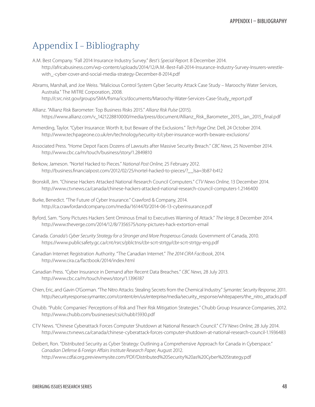## <span id="page-52-0"></span>Appendix I – Bibliography

- A.M. Best Company. "Fall 2014 Insurance Industry Survey." *Best's Special Report*. 8 December 2014. http://africabusiness.com/wp-content/uploads/2014/12/A.M.-Best-Fall-2014-Insurance-Industry-Survey-Insurers-wrestlewith\_-cyber-cover-and-social-media-strategy-December-8-2014.pdf
- Abrams, Marshall, and Joe Weiss. "Malicious Control System Cyber Security Attack Case Study Maroochy Water Services, Australia." The MITRE Corporation, 2008. http://csrc.nist.gov/groups/SMA/fisma/ics/documents/Maroochy-Water-Services-Case-Study\_report.pdf
- Allianz. "Allianz Risk Barometer: Top Business Risks 2015." *Allianz Risk Pulse* (2015). https://www.allianz.com/v\_1421228810000/media/press/document/Allianz\_Risk\_Barometer\_2015\_Jan\_2015\_final.pdf
- Armerding, Taylor. "Cyber Insurance: Worth It, but Beware of the Exclusions." *Tech Page One*. Dell, 24 October 2014. http://www.techpageone.co.uk/en/technology/security-it/cyber-insurance-worth-beware-exclusions/
- Associated Press. "Home Depot Faces Dozens of Lawsuits after Massive Security Breach." *CBC News*, 25 November 2014. http://www.cbc.ca/m/touch/business/story/1.2849810
- Berkow, Jameson. "Nortel Hacked to Pieces." *National Post Online*, 25 February 2012. http://business.financialpost.com/2012/02/25/nortel-hacked-to-pieces/?\_\_lsa=3b87-b412
- Bronskill, Jim. "Chinese Hackers Attacked National Research Council Computers." *CTV News Online*, 13 December 2014. http://www.ctvnews.ca/canada/chinese-hackers-attacked-national-research-council-computers-1.2146400
- Burke, Benedict. "The Future of Cyber Insurance." Crawford & Company, 2014. http://ca.crawfordandcompany.com/media/1614470/2014-06-13-cyberinsurance.pdf
- Byford, Sam. "Sony Pictures Hackers Sent Ominous Email to Executives Warning of Attack." *The Verge*, 8 December 2014. http://www.theverge.com/2014/12/8/7356575/sony-pictures-hack-extortion-email
- Canada. *Canada's Cyber Security Strategy for a Stronger and More Prosperous Canada*. Government of Canada, 2010. https://www.publicsafety.gc.ca/cnt/rsrcs/pblctns/cbr-scrt-strtgy/cbr-scrt-strtgy-eng.pdf
- Canadian Internet Registration Authority. "The Canadian Internet." *The 2014 CIRA Factbook*, 2014. http://www.cira.ca/factbook/2014/index.html
- Canadian Press. "Cyber Insurance in Demand after Recent Data Breaches." *CBC News*, 28 July 2013. http://www.cbc.ca/m/touch/news/story/1.1396187
- Chien, Eric, and Gavin O'Gorman. "The Nitro Attacks: Stealing Secrets from the Chemical Industry." *Symantec Security Response*, 2011. http://securityresponse.symantec.com/content/en/us/enterprise/media/security\_response/whitepapers/the\_nitro\_attacks.pdf
- Chubb. "Public Companies' Perceptions of Risk and Their Risk Mitigation Strategies." Chubb Group Insurance Companies, 2012. http://www.chubb.com/businesses/csi/chubb15930.pdf
- CTV News. "Chinese Cyberattack Forces Computer Shutdown at National Research Council." *CTV News Online*, 28 July 2014. http://www.ctvnews.ca/canada/chinese-cyberattack-forces-computer-shutdown-at-national-research-council-1.1936483
- Deibert, Ron. "Distributed Security as Cyber Strategy: Outlining a Comprehensive Approach for Canada in Cyberspace." *Canadian Defense & Foreign Affairs Institute Research Paper*, August 2012. http://www.cdfai.org.previewmysite.com/PDF/Distributed%20Security%20as%20Cyber%20Strategy.pdf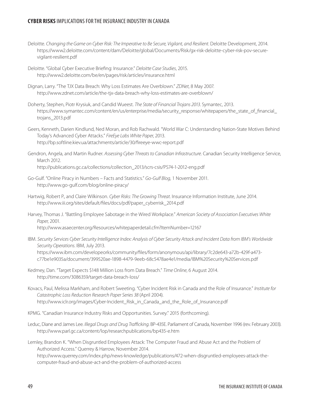#### **CYBER RISKS** IMPLICATIONS FOR THE INSURANCE INDUSTRY IN CANADA

- Deloitte. *Changing the Game on Cyber Risk: The Imperative to Be Secure, Vigilant, and Resilient*. Deloitte Development, 2014. https://www2.deloitte.com/content/dam/Deloitte/global/Documents/Risk/gx-risk-deloitte-cyber-risk-pov-securevigilant-resilient.pdf
- Deloitte. "Global Cyber Executive Briefing: Insurance." *Deloitte Case Studies*, 2015. http://www2.deloitte.com/be/en/pages/risk/articles/insurance.html
- Dignan, Larry. "The TJX Data Breach: Why Loss Estimates Are Overblown." *ZDNet*, 8 May 2007. http://www.zdnet.com/article/the-tjx-data-breach-why-loss-estimates-are-overblown/
- Doherty, Stephen, Piotr Krysiuk, and Candid Wueest. *The State of Financial Trojans 2013*. Symantec, 2013. https://www.symantec.com/content/en/us/enterprise/media/security\_response/whitepapers/the\_state\_of\_financial\_ trojans\_2013.pdf
- Geers, Kenneth, Darien Kindlund, Ned Moran, and Rob Rachwald. "World War C: Understanding Nation-State Motives Behind Today's Advanced Cyber Attacks." *FireEye Labs White Paper*, 2013. http://bp.softline.kiev.ua/attachments/article/30/fireeye-wwc-report.pdf
- Gendron, Angela, and Martin Rudner. *Assessing Cyber Threats to Canadian Infrastructure*. Canadian Security Intelligence Service, March 2012. http://publications.gc.ca/collections/collection\_2013/scrs-csis/PS74-1-2012-eng.pdf
- Go-Gulf. "Online Piracy in Numbers Facts and Statistics." *Go-Gulf Blog*, 1 November 2011. http://www.go-gulf.com/blog/online-piracy/
- Hartwig, Robert P., and Claire Wilkinson. *Cyber Risks: The Growing Threat*. Insurance Information Institute, June 2014. http://www.iii.org/sites/default/files/docs/pdf/paper\_cyberrisk\_2014.pdf
- Harvey, Thomas J. "Battling Employee Sabotage in the Wired Workplace." *American Society of Association Executives White Paper*, 2001. http://www.asaecenter.org/Resources/whitepaperdetail.cfm?ItemNumber=12167
- IBM. *Security Services Cyber Security Intelligence Index: Analysis of Cyber Security Attack and Incident Data from IBM's Worldwide Security Operations*. IBM, July 2013. https://www.ibm.com/developeorks/community/files/form/anonymous/api/library/7c2de643-a72b-429f-a473 c77be1e9035a/document/399520ae-1898-4479-9eeb-68c5478ae4e1/media/IBM%20Security%20Services.pdf
- Kedmey, Dan. "Target Expects \$148 Million Loss from Data Breach." *Time Online*, 6 August 2014. http://time.com/3086359/target-data-breach-loss/
- Kovacs, Paul, Melissa Markham, and Robert Sweeting. "Cyber Incident Risk in Canada and the Role of Insurance." *Institute for Catastrophic Loss Reduction Research Paper Series 38* (April 2004). http://www.iclr.org/images/Cyber-Incident\_Risk\_in\_Canada\_and\_the\_Role\_of\_Insurance.pdf
- KPMG. "Canadian Insurance Industry Risks and Opportunities. Survey." 2015 (forthcoming).
- Leduc, Diane and James Lee. *Illegal Drugs and Drug Trafficking*. BP-435E. Parliament of Canada, November 1996 (rev. February 2003). http://www.parl.gc.ca/content/lop/researchpublications/bp435-e.htm
- Lemley, Brandon K. "When Disgruntled Employees Attack: The Computer Fraud and Abuse Act and the Problem of Authorized Access." Querrey & Harrow, November 2014. http://www.querrey.com/index.php/news-knowledge/publications/472-when-disgruntled-employees-attack-thecomputer-fraud-and-abuse-act-and-the-problem-of-authorized-access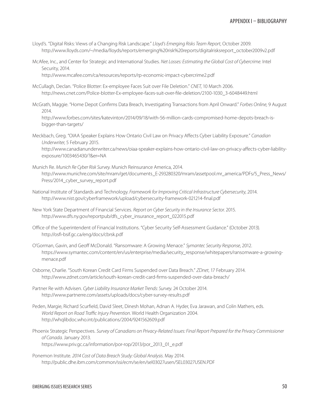- Lloyd's. "Digital Risks: Views of a Changing Risk Landscape." *Lloyd's Emerging Risks Team Report*, October 2009. http://www.lloyds.com/~/media/lloyds/reports/emerging%20risk%20reports/digitalrisksreport\_october2009v2.pdf
- McAfee, Inc., and Center for Strategic and International Studies. *Net Losses: Estimating the Global Cost of Cybercrime*. Intel Security, 2014.

http://www.mcafee.com/ca/resources/reports/rp-economic-impact-cybercrime2.pdf

- McCullagh, Declan. "Police Blotter: Ex-employee Faces Suit over File Deletion." *CNET*, 10 March 2006. http://news.cnet.com/Police-blotter-Ex-employee-faces-suit-over-file-deletion/2100-1030\_3-6048449.html
- McGrath, Maggie. "Home Depot Confirms Data Breach, Investigating Transactions from April Onward." *Forbes Online*, 9 August 2014.

http://www.forbes.com/sites/katevinton/2014/09/18/with-56-million-cards-compromised-home-depots-breach-isbigger-than-targets/

- Meckbach, Greg. "OIAA Speaker Explains How Ontario Civil Law on Privacy Affects Cyber Liability Exposure." *Canadian Underwriter*, 5 February 2015. http://www.canadianunderwriter.ca/news/oiaa-speaker-explains-how-ontario-civil-law-on-privacy-affects-cyber-liabilityexposure/1003465430/?&er=NA
- Munich Re. *Munich Re Cyber Risk Survey*. Munich Reinsurance America, 2014. http://www.munichre.com/site/mram/get/documents\_E-293280320/mram/assetpool.mr\_america/PDFs/5\_Press\_News/ Press/2014\_cyber\_survey\_report.pdf
- National Institute of Standards and Technology. *Framework for Improving Critical Infrastructure Cybersecurity*, 2014. http://www.nist.gov/cyberframework/upload/cybersecurity-framework-021214-final.pdf
- New York State Department of Financial Services. *Report on Cyber Security in the Insurance Sector*. 2015. http://www.dfs.ny.gov/reportpub/dfs\_cyber\_insurance\_report\_022015.pdf
- Office of the Superintendent of Financial Institutions. "Cyber Security Self-Assessment Guidance." (October 2013). http://osfi-bsif.gc.ca/eng/docs/cbrsk.pdf
- O'Gorman, Gavin, and Geoff McDonald. "Ransomware: A Growing Menace." *Symantec Security Response*, 2012. https://www.symantec.com/content/en/us/enterprise/media/security\_response/whitepapers/ransomware-a-growingmenace.pdf
- Osborne, Charlie. "South Korean Credit Card Firms Suspended over Data Breach." *ZDnet*, 17 February 2014. http://www.zdnet.com/article/south-korean-credit-card-firms-suspended-over-data-breach/
- Partner Re with Advisen. *Cyber Liability Insurance Market Trends: Survey*. 24 October 2014. http://www.partnerre.com/assets/uploads/docs/cyber-survey-results.pdf
- Peden, Margie, Richard Scurfield, David Sleet, Dinesh Mohan, Adnan A. Hyder, Eva Jarawan, and Colin Mathers, eds. *World Report on Road Traffic Injury Prevention*. World Health Organization 2004. http://whqlibdoc.who.int/publications/2004/9241562609.pdf
- Phoenix Strategic Perspectives. *Survey of Canadians on Privacy-Related Issues: Final Report Prepared for the Privacy Commissioner of Canada*. January 2013. https://www.priv.gc.ca/information/por-rop/2013/por\_2013\_01\_e.pdf
- Ponemon Institute. *2014 Cost of Data Breach Study: Global Analysis*. May 2014. http://public.dhe.ibm.com/common/ssi/ecm/se/en/sel03027usen/SEL03027USEN.PDF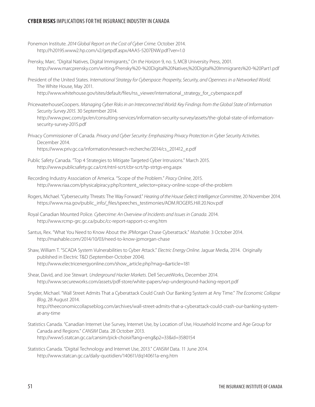#### **CYBER RISKS** IMPLICATIONS FOR THE INSURANCE INDUSTRY IN CANADA

- Ponemon Institute. *2014 Global Report on the Cost of Cyber Crime*. October 2014. http://h20195.www2.hp.com/v2/getpdf.aspx/4AA5-5207ENW.pdf?ver=1.0
- Prensky, Marc. "Digital Natives, Digital Immigrants," *On the Horizon* 9, no. 5, MCB University Press, 2001. http://www.marcprensky.com/writing/Prensky%20-%20Digital%20Natives,%20Digital%20Immigrants%20-%20Part1.pdf
- President of the United States. *International Strategy for Cyberspace: Prosperity, Security, and Openness in a Networked World*. The White House, May 2011. http://www.whitehouse.gov/sites/default/files/rss\_viewer/international\_strategy\_for\_cyberspace.pdf
- PricewaterhouseCoopers. *Managing Cyber Risks in an Interconnected World: Key Findings from the Global State of Information Security Survey 2015*. 30 September 2014. http://www.pwc.com/gx/en/consulting-services/information-security-survey/assets/the-global-state-of-informationsecurity-survey-2015.pdf

Privacy Commissioner of Canada. *Privacy and Cyber Security: Emphasizing Privacy Protection in Cyber Security Activities*. December 2014. https://www.priv.gc.ca/information/research-recherche/2014/cs\_201412\_e.pdf

- Public Safety Canada. "Top 4 Strategies to Mitigate Targeted Cyber Intrusions." March 2015. http://www.publicsafety.gc.ca/cnt/ntnl-scrt/cbr-scrt/tp-strtgs-eng.aspx
- Recording Industry Association of America. "Scope of the Problem." *Piracy Online*, 2015. http://www.riaa.com/physicalpiracy.php?content\_selector=piracy-online-scope-of-the-problem
- Rogers, Michael. "Cybersecurity Threats: The Way Forward." *Hearing of the House (Select) Intelligence Committee*, 20 November 2014. https://www.nsa.gov/public\_info/\_files/speeches\_testimonies/ADM.ROGERS.Hill.20.Nov.pdf
- Royal Canadian Mounted Police. *Cybercrime: An Overview of Incidents and Issues in Canada*. 2014. http://www.rcmp-grc.gc.ca/pubc/cc-report-rapport-cc-eng.htm
- Santus, Rex. "What You Need to Know About the JPMorgan Chase Cyberattack." *Mashable*. 3 October 2014. http://mashable.com/2014/10/03/need-to-know-jpmorgan-chase
- Shaw, William T. "SCADA System Vulnerabilities to Cyber Attack." *Electric Energy Online*. Jaguar Media, 2014. Originally published in Electric T&D (September-October 2004). http://www.electricenergyonline.com/show\_article.php?mag=&article=181
- Shear, David, and Joe Stewart. *Underground Hacker Markets*. Dell SecureWorks, December 2014. http://www.secureworks.com/assets/pdf-store/white-papers/wp-underground-hacking-report.pdf
- Snyder, Michael. "Wall Street Admits That a Cyberattack Could Crash Our Banking System at Any Time." *The Economic Collapse Blog*, 28 August 2014. http://theeconomiccollapseblog.com/archives/wall-street-admits-that-a-cyberattack-could-crash-our-banking-systemat-any-time
- Statistics Canada. "Canadian Internet Use Survey, Internet Use, by Location of Use, Household Income and Age Group for Canada and Regions." *CANSIM* Data. 28 October 2013. http://www5.statcan.gc.ca/cansim/pick-choisir?lang=eng&p2=33&id=3580154
- Statistics Canada. "Digital Technology and Internet Use, 2013." *CANSIM* Data. 11 June 2014. http://www.statcan.gc.ca/daily-quotidien/140611/dq140611a-eng.htm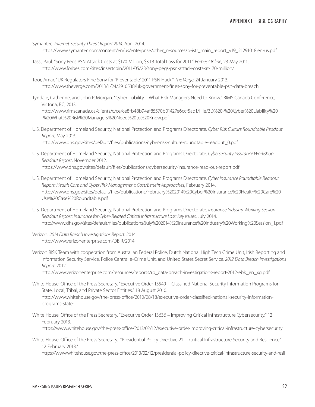Symantec. *Internet Security Threat Report 2014*. April 2014.

https://www.symantec.com/content/en/us/enterprise/other\_resources/b-istr\_main\_report\_v19\_21291018.en-us.pdf

- Tassi, Paul. "Sony Pegs PSN Attack Costs at \$170 Million, \$3.1B Total Loss for 2011." *Forbes Online*, 23 May 2011. http://www.forbes.com/sites/insertcoin/2011/05/23/sony-pegs-psn-attack-costs-at-170-million/
- Toor, Amar. "UK Regulators Fine Sony for 'Preventable' 2011 PSN Hack." *The Verge*, 24 January 2013. http://www.theverge.com/2013/1/24/3910538/uk-government-fines-sony-for-preventable-psn-data-breach
- Tyndale, Catherine, and John P. Morgan. "Cyber Liability What Risk Managers Need to Know." RIMS Canada Conference, Victoria, BC, 2013.

http://www.rimscanada.ca/clients/c/ce/ce8fb48b94af85570b01427e6ccf5ad1/File/3D%20-%20Cyber%20Liability%20 -%20What%20Risk%20Managers%20Need%20to%20Know.pdf

- U.S. Department of Homeland Security, National Protection and Programs Directorate. *Cyber Risk Culture Roundtable Readout Report*, May 2013. http://www.dhs.gov/sites/default/files/publications/cyber-risk-culture-roundtable-readout\_0.pdf
- U.S. Department of Homeland Security, National Protection and Programs Directorate. *Cybersecurity Insurance Workshop Readout Report*, November 2012. https://www.dhs.gov/sites/default/files/publications/cybersecurity-insurance-read-out-report.pdf
- U.S. Department of Homeland Security, National Protection and Programs Directorate. *Cyber Insurance Roundtable Readout Report: Health Care and Cyber Risk Management: Cost/Benefit Approaches*, February 2014. http://www.dhs.gov/sites/default/files/publications/February%202014%20Cyber%20Insurance%20Health%20Care%20 Use%20Case%20Roundtable.pdf
- U.S. Department of Homeland Security, National Protection and Programs Directorate. *Insurance Industry Working Session Readout Report: Insurance for Cyber-Related Critical Infrastructure Loss: Key Issues*, July 2014. http://www.dhs.gov/sites/default/files/publications/July%202014%20Insurance%20Industry%20Working%20Session\_1.pdf
- Verizon. *2014 Data Breach Investigations Report*. 2014. http://www.verizonenterprise.com/DBIR/2014
- Verizon RISK Team with cooperation from Australian Federal Police, Dutch National High Tech Crime Unit, Irish Reporting and Information Security Service, Police Central e-Crime Unit, and United States Secret Service. *2012 Data Breach Investigations Report*. 2012.

http://www.verizonenterprise.com/resources/reports/rp\_data-breach-investigations-report-2012-ebk\_en\_xg.pdf

- White House, Office of the Press Secretary. "Executive Order 13549 -- Classified National Security Information Programs for State, Local, Tribal, and Private Sector Entities." 18 August 2010. http://www.whitehouse.gov/the-press-office/2010/08/18/executive-order-classified-national-security-informationprograms-state-
- White House, Office of the Press Secretary. "Executive Order 13636 Improving Critical Infrastructure Cybersecurity." 12 February 2013.

https://www.whitehouse.gov/the-press-office/2013/02/12/executive-order-improving-critical-infrastructure-cybersecurity

White House, Office of the Press Secretary. "Presidential Policy Directive 21 – Critical Infrastructure Security and Resilience." 12 February 2013."

https://www.whitehouse.gov/the-press-office/2013/02/12/presidential-policy-directive-critical-infrastructure-security-and-resil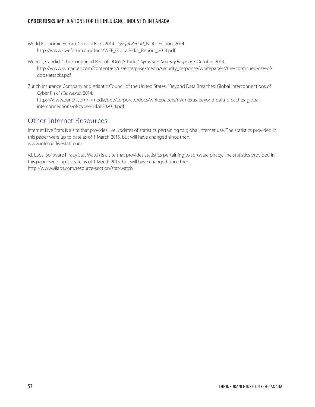### **CYBER RISKS** IMPLICATIONS FOR THE INSURANCE INDUSTRY IN CANADA

World Economic Forum. "Global Risks 2014." *Insight Report*, Ninth Edition, 2014. http://www3.weforum.org/docs/WEF\_GlobalRisks\_Report\_2014.pdf

Wueest, Candid. "The Continued Rise of DDoS Attacks." *Symantec Security Response*, October 2014. http://www.symantec.com/content/en/us/enterprise/media/security\_response/whitepapers/the-continued-rise-ofddos-attacks.pdf

Zurich Insurance Company and Atlantic Council of the United States. "Beyond Data Breaches: Global Interconnections of Cyber Risk." *Risk Nexus*, 2014.

https://www.zurich.com/\_/media/dbe/corporate/docs/whitepapers/risk-nexus-beyond-data-breaches-globalinterconnections-of-cyber-risk%202014.pdf

### Other Internet Resources

Internet Live Stats is a site that provides live updates of statistics pertaining to global internet use. The statistics provided in this paper were up to date as of 1 March 2015, but will have changed since then. www.internetlivestats.com

V.I. Labs' Software Piracy Stat Watch is a site that provides statistics pertaining to software piracy. The statistics provided in this paper were up to date as of 1 March 2015, but will have changed since then. http://www.vilabs.com/resource-section/stat-watch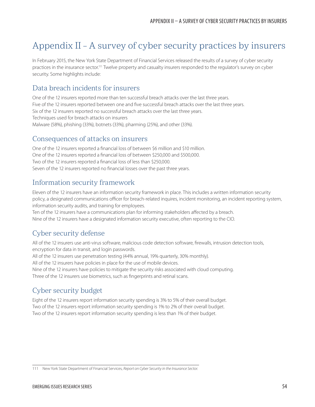## <span id="page-58-0"></span>Appendix II – A survey of cyber security practices by insurers

In February 2015, the New York State Department of Financial Services released the results of a survey of cyber security practices in the insurance sector.<sup>111</sup> Twelve property and casualty insurers responded to the regulator's survey on cyber security. Some highlights include:

### Data breach incidents for insurers

One of the 12 insurers reported more than ten successful breach attacks over the last three years. Five of the 12 insurers reported between one and five successful breach attacks over the last three years. Six of the 12 insurers reported no successful breach attacks over the last three years. Techniques used for breach attacks on insurers Malware (58%), phishing (33%), botnets (33%), pharming (25%), and other (33%).

### Consequences of attacks on insurers

One of the 12 insurers reported a financial loss of between \$6 million and \$10 million. One of the 12 insurers reported a financial loss of between \$250,000 and \$500,000. Two of the 12 insurers reported a financial loss of less than \$250,000. Seven of the 12 insurers reported no financial losses over the past three years.

### Information security framework

Eleven of the 12 insurers have an information security framework in place. This includes a written information security policy, a designated communications officer for breach-related inquires, incident monitoring, an incident reporting system, information security audits, and training for employees.

Ten of the 12 insurers have a communications plan for informing stakeholders affected by a breach. Nine of the 12 insurers have a designated information security executive, often reporting to the CIO.

### Cyber security defense

All of the 12 insurers use anti-virus software, malicious code detection software, firewalls, intrusion detection tools, encryption for data in transit, and login passwords.

All of the 12 insurers use penetration testing (44% annual, 19% quarterly, 30% monthly).

All of the 12 insurers have policies in place for the use of mobile devices.

Nine of the 12 insurers have policies to mitigate the security risks associated with cloud computing. Three of the 12 insurers use biometrics, such as fingerprints and retinal scans.

### Cyber security budget

Eight of the 12 insurers report information security spending is 3% to 5% of their overall budget. Two of the 12 insurers report information security spending is 1% to 2% of their overall budget. Two of the 12 insurers report information security spending is less than 1% of their budget.

<sup>111</sup> New York State Department of Financial Services, *Report on Cyber Security in the Insurance Sector.*